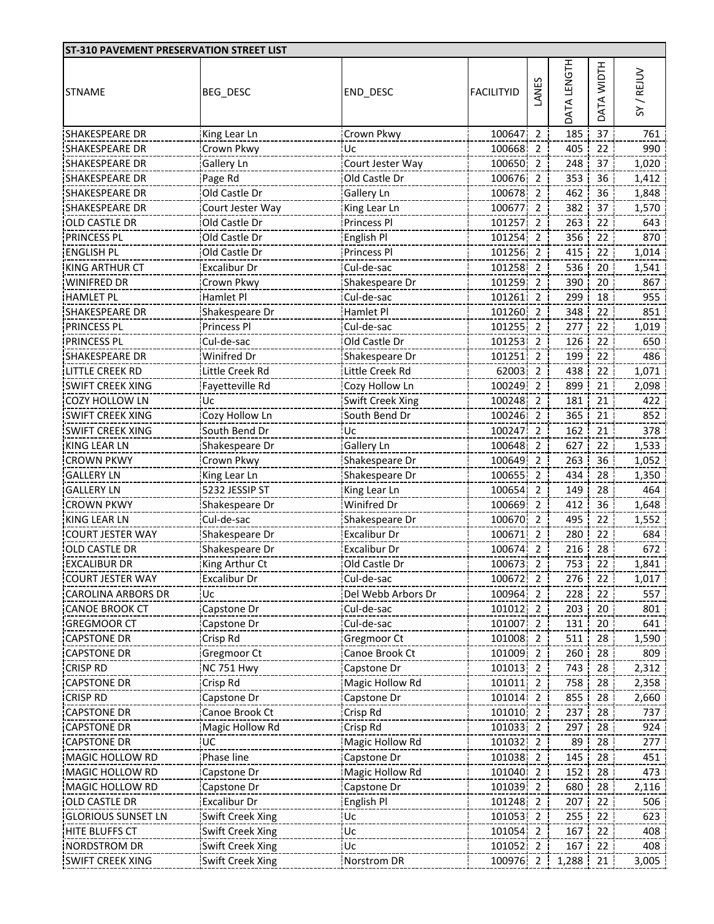| ST-310 PAVEMENT PRESERVATION STREET LIST |                     |                     |                   |       |                    |                 |          |
|------------------------------------------|---------------------|---------------------|-------------------|-------|--------------------|-----------------|----------|
| <b>STNAME</b>                            | <b>BEG_DESC</b>     | END_DESC            | <b>FACILITYID</b> | LANES | <b>NATA LENGTH</b> | DATA WIDTH      | SY/REJUV |
| SHAKESPEARE DR                           | King Lear Ln        | Crown Pkwy          | 100647 2          |       | 185                | 37              | 761      |
| SHAKESPEARE DR                           | Crown Pkwy          | Uc                  | 100668 2          |       | 405                | 22              | 990      |
| <b>SHAKESPEARE DR</b>                    | Gallery Ln          | Court Jester Way    | 100650 2          |       | 248                | 37              | 1,020    |
| <b>SHAKESPEARE DR</b>                    | Page Rd             | Old Castle Dr       | 100676 2          |       | 353                | 36              | 1,412    |
| <b>SHAKESPEARE DR</b>                    | Old Castle Dr       | <b>Gallery Ln</b>   | 100678 2          |       | 462                | 36              | 1,848    |
| SHAKESPEARE DR                           | Court Jester Way    | King Lear Ln        | 100677 2          |       | 382                | 37              | 1,570    |
| OLD CASTLE DR                            | Old Castle Dr       | Princess Pl         | 101257 2          |       | 263                | 22              | 643      |
| <b>PRINCESS PL</b>                       | Old Castle Dr       | English Pl          | 101254 2          |       | 356                | 22              | 870      |
| <b>ENGLISH PL</b>                        | Old Castle Dr       | Princess Pl         | 101256 2          |       | 415                | 22              | 1,014    |
| <b>KING ARTHUR CT</b>                    | <b>Excalibur Dr</b> | Cul-de-sac          | 101258 2          |       | 536                | 20              | 1,541    |
| WINIFRED DR                              | Crown Pkwy          | Shakespeare Dr      | 101259 2          |       | 390                | 20              | 867      |
| <b>HAMLET PL</b>                         | Hamlet Pl           | Cul-de-sac          | 101261 2          |       | 299                | 18              | 955      |
| <b>SHAKESPEARE DR</b>                    | Shakespeare Dr      | Hamlet Pl           | 101260 2          |       | 348                | 22              | 851      |
| PRINCESS PL                              | Princess Pl         | Cul-de-sac          | 101255 2          |       | 277                | 22              | 1,019    |
| <b>PRINCESS PL</b>                       | Cul-de-sac          | Old Castle Dr       | 101253 2          |       | 126                | 22              | 650      |
| SHAKESPEARE DR                           | Winifred Dr         | Shakespeare Dr      | 101251 2          |       | 199                | 22              | 486      |
| <b>LITTLE CREEK RD</b>                   | Little Creek Rd     | Little Creek Rd     | 62003 2           |       | 438                | 22              | 1,071    |
| <b>SWIFT CREEK XING</b>                  | Fayetteville Rd     | Cozy Hollow Ln      | 100249 2          |       | 899                | 21              | 2,098    |
| <b>COZY HOLLOW LN</b>                    | Uc                  | Swift Creek Xing    | 100248 2          |       | 181                | 21              | 422      |
| <b>SWIFT CREEK XING</b>                  | Cozy Hollow Ln      | South Bend Dr       | 100246 2          |       | 365                | 21              | 852      |
| <b>SWIFT CREEK XING</b>                  | South Bend Dr       | Uc.                 | 100247 2          |       | 162                | 21              | 378      |
| KING LEAR LN                             | Shakespeare Dr      | <b>Gallery Ln</b>   | 100648 2          |       | 627                | 22              | 1,533    |
| <b>CROWN PKWY</b>                        | Crown Pkwy          | Shakespeare Dr      | 100649 2          |       | 263                | 36 <sup>1</sup> | 1,052    |
| <b>GALLERY LN</b>                        | King Lear Ln        | Shakespeare Dr      | 100655 2          |       | 434                | 28              | 1,350    |
| <b>GALLERY LN</b>                        | 5232 JESSIP ST      | King Lear Ln        | 100654 2          |       | 149                | 28              | 464      |
| <b>CROWN PKWY</b>                        | Shakespeare Dr      | Winifred Dr         | 100669 2          |       | 412                | 36              | 1,648    |
| <b>KING LEAR LN</b>                      | Cul-de-sac          | Shakespeare Dr      | 100670 2          |       | 495                | 22              | 1,552    |
| <b>COURT JESTER WAY</b>                  | Shakespeare Dr      | <b>Excalibur Dr</b> | 100671 2          |       | 280                | 22              | 684      |
| OLD CASTLE DR                            | Shakespeare Dr      | <b>Excalibur Dr</b> | 100674 2          |       | 216                | 28              | 672      |
| <b>EXCALIBUR DR</b>                      | King Arthur Ct      | Old Castle Dr       | 100673 2          |       | 753 22             |                 | 1,841    |
| <b>COURT JESTER WAY</b>                  | Excalibur Dr        | Cul-de-sac          | 100672 2          |       | 276 22             |                 | 1,017    |
| <b>CAROLINA ARBORS DR</b>                | Uc                  | Del Webb Arbors Dr  | 100964 2          |       | 228                | 22              | 557      |
| <b>CANOE BROOK CT</b>                    | Capstone Dr         | Cul-de-sac          | 101012 2          |       | 203                | 20              | 801      |
| <b>GREGMOOR CT</b>                       | Capstone Dr         | Cul-de-sac          | 101007 2          |       | 131                | 20              | 641      |
| <b>CAPSTONE DR</b>                       | Crisp Rd            | Gregmoor Ct         | 101008 2          |       | 511                | 28              | 1,590    |
| <b>CAPSTONE DR</b>                       | Gregmoor Ct         | Canoe Brook Ct      | 101009 2          |       | 260                | 28              | 809      |
| <b>CRISP RD</b>                          | <b>NC 751 Hwy</b>   | Capstone Dr         | 101013 2          |       | 743                | 28              | 2,312    |
| <b>CAPSTONE DR</b>                       | Crisp Rd            | Magic Hollow Rd     | 101011 2          |       | 758                | 28              | 2,358    |
| <b>CRISP RD</b>                          | Capstone Dr         | Capstone Dr         | 101014 2          |       | 855                | 28              | 2,660    |
| <b>CAPSTONE DR</b>                       | Canoe Brook Ct      | Crisp Rd            | 101010 2          |       | 237                | 28              | 737      |
| <b>CAPSTONE DR</b>                       | Magic Hollow Rd     | Crisp Rd            | 101033 2          |       | 297                | 28              | 924      |
| <b>CAPSTONE DR</b>                       | UC                  | Magic Hollow Rd     | 101032 2          |       | 89                 | 28              | 277      |
| MAGIC HOLLOW RD                          | Phase line          | Capstone Dr         | 101038 2          |       | 145                | 28              | 451      |
| MAGIC HOLLOW RD                          | Capstone Dr         | Magic Hollow Rd     | 101040 2          |       | 152                | 28              | 473      |
| MAGIC HOLLOW RD                          | Capstone Dr         | Capstone Dr         | 101039 2          |       | 680                | 28              | 2,116    |
| <b>OLD CASTLE DR</b>                     | Excalibur Dr        | English Pl          | 101248 2          |       | 207                | 22              | 506      |
| <b>GLORIOUS SUNSET LN</b>                | Swift Creek Xing    | Uc                  | 101053 2          |       | 255                | 22              | 623      |
| HITE BLUFFS CT                           | Swift Creek Xing    | Uc.                 | 101054 2          |       | 167                | 22              | 408      |
| <b>NORDSTROM DR</b>                      | Swift Creek Xing    | Uc                  | 101052 2          |       | 167                | 22              | 408      |
| <b>SWIFT CREEK XING</b>                  | Swift Creek Xing    | <b>Norstrom DR</b>  | 100976 2          |       | 1,288              | 21              | 3,005    |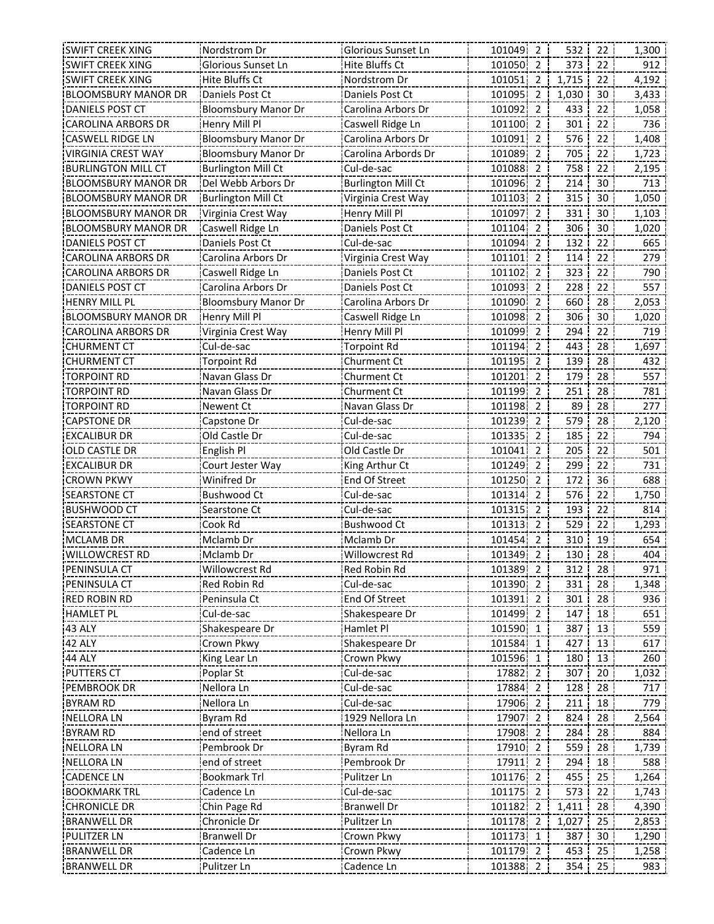| Glorious Sunset Ln<br><b>Hite Bluffs Ct</b><br>101050 2<br>912<br><b>SWIFT CREEK XING</b><br>373<br>22<br>1,715<br><b>SWIFT CREEK XING</b><br>Hite Bluffs Ct<br>Nordstrom Dr<br>101051 2<br>22<br>4,192<br><b>BLOOMSBURY MANOR DR</b><br>Daniels Post Ct<br>Daniels Post Ct<br>101095<br>$\overline{2}$<br>1,030<br>3,433<br>30<br>101092<br><b>DANIELS POST CT</b><br><b>Bloomsbury Manor Dr</b><br>Carolina Arbors Dr<br>2<br>433<br>22<br>1,058<br><b>CAROLINA ARBORS DR</b><br>Henry Mill Pl<br>Caswell Ridge Ln<br>101100<br>$\overline{2}$<br>301<br>22<br>736<br>576<br>1,408<br>CASWELL RIDGE LN<br><b>Bloomsbury Manor Dr</b><br>Carolina Arbors Dr<br>101091<br>$\overline{2}$<br>22<br>101089 2<br>705<br>VIRGINIA CREST WAY<br>Carolina Arbords Dr<br>22<br>1,723<br><b>Bloomsbury Manor Dr</b><br>758<br><b>BURLINGTON MILL CT</b><br><b>Burlington Mill Ct</b><br>101088 2<br>22<br>2,195<br>Cul-de-sac<br>101096 2<br>214<br>30<br>713<br><b>BLOOMSBURY MANOR DR</b><br>Del Webb Arbors Dr<br><b>Burlington Mill Ct</b><br><b>BLOOMSBURY MANOR DR</b><br>101103<br>315<br>30<br>1,050<br><b>Burlington Mill Ct</b><br>Virginia Crest Way<br>$\overline{2}$<br>331<br><b>BLOOMSBURY MANOR DR</b><br>Virginia Crest Way<br>Henry Mill Pl<br>101097<br>$\overline{2}$<br>30<br>1,103 |
|--------------------------------------------------------------------------------------------------------------------------------------------------------------------------------------------------------------------------------------------------------------------------------------------------------------------------------------------------------------------------------------------------------------------------------------------------------------------------------------------------------------------------------------------------------------------------------------------------------------------------------------------------------------------------------------------------------------------------------------------------------------------------------------------------------------------------------------------------------------------------------------------------------------------------------------------------------------------------------------------------------------------------------------------------------------------------------------------------------------------------------------------------------------------------------------------------------------------------------------------------------------------------------------------------|
|                                                                                                                                                                                                                                                                                                                                                                                                                                                                                                                                                                                                                                                                                                                                                                                                                                                                                                                                                                                                                                                                                                                                                                                                                                                                                                  |
|                                                                                                                                                                                                                                                                                                                                                                                                                                                                                                                                                                                                                                                                                                                                                                                                                                                                                                                                                                                                                                                                                                                                                                                                                                                                                                  |
|                                                                                                                                                                                                                                                                                                                                                                                                                                                                                                                                                                                                                                                                                                                                                                                                                                                                                                                                                                                                                                                                                                                                                                                                                                                                                                  |
|                                                                                                                                                                                                                                                                                                                                                                                                                                                                                                                                                                                                                                                                                                                                                                                                                                                                                                                                                                                                                                                                                                                                                                                                                                                                                                  |
|                                                                                                                                                                                                                                                                                                                                                                                                                                                                                                                                                                                                                                                                                                                                                                                                                                                                                                                                                                                                                                                                                                                                                                                                                                                                                                  |
|                                                                                                                                                                                                                                                                                                                                                                                                                                                                                                                                                                                                                                                                                                                                                                                                                                                                                                                                                                                                                                                                                                                                                                                                                                                                                                  |
|                                                                                                                                                                                                                                                                                                                                                                                                                                                                                                                                                                                                                                                                                                                                                                                                                                                                                                                                                                                                                                                                                                                                                                                                                                                                                                  |
|                                                                                                                                                                                                                                                                                                                                                                                                                                                                                                                                                                                                                                                                                                                                                                                                                                                                                                                                                                                                                                                                                                                                                                                                                                                                                                  |
|                                                                                                                                                                                                                                                                                                                                                                                                                                                                                                                                                                                                                                                                                                                                                                                                                                                                                                                                                                                                                                                                                                                                                                                                                                                                                                  |
|                                                                                                                                                                                                                                                                                                                                                                                                                                                                                                                                                                                                                                                                                                                                                                                                                                                                                                                                                                                                                                                                                                                                                                                                                                                                                                  |
|                                                                                                                                                                                                                                                                                                                                                                                                                                                                                                                                                                                                                                                                                                                                                                                                                                                                                                                                                                                                                                                                                                                                                                                                                                                                                                  |
| 306<br><b>BLOOMSBURY MANOR DR</b><br>Caswell Ridge Ln<br>Daniels Post Ct<br>101104<br>$\overline{2}$<br>30<br>1,020                                                                                                                                                                                                                                                                                                                                                                                                                                                                                                                                                                                                                                                                                                                                                                                                                                                                                                                                                                                                                                                                                                                                                                              |
| Cul-de-sac<br>22<br>DANIELS POST CT<br>Daniels Post Ct<br>101094<br>2<br>132<br>665                                                                                                                                                                                                                                                                                                                                                                                                                                                                                                                                                                                                                                                                                                                                                                                                                                                                                                                                                                                                                                                                                                                                                                                                              |
| 114<br>22<br>279<br>CAROLINA ARBORS DR<br>Carolina Arbors Dr<br>Virginia Crest Way<br>101101<br>2                                                                                                                                                                                                                                                                                                                                                                                                                                                                                                                                                                                                                                                                                                                                                                                                                                                                                                                                                                                                                                                                                                                                                                                                |
| 323<br>CAROLINA ARBORS DR<br>Caswell Ridge Ln<br>Daniels Post Ct<br>101102<br>$\overline{2}$<br>22<br>790                                                                                                                                                                                                                                                                                                                                                                                                                                                                                                                                                                                                                                                                                                                                                                                                                                                                                                                                                                                                                                                                                                                                                                                        |
| 228<br>22<br>DANIELS POST CT<br>Carolina Arbors Dr<br>Daniels Post Ct<br>101093 2<br>557                                                                                                                                                                                                                                                                                                                                                                                                                                                                                                                                                                                                                                                                                                                                                                                                                                                                                                                                                                                                                                                                                                                                                                                                         |
| 101090 2<br>660<br>2,053<br><b>HENRY MILL PL</b><br><b>Bloomsbury Manor Dr</b><br>Carolina Arbors Dr<br>28                                                                                                                                                                                                                                                                                                                                                                                                                                                                                                                                                                                                                                                                                                                                                                                                                                                                                                                                                                                                                                                                                                                                                                                       |
| 101098 2<br>306<br>30<br>1,020<br><b>BLOOMSBURY MANOR DR</b><br>Henry Mill Pl<br>Caswell Ridge Ln                                                                                                                                                                                                                                                                                                                                                                                                                                                                                                                                                                                                                                                                                                                                                                                                                                                                                                                                                                                                                                                                                                                                                                                                |
| 101099<br>294<br>22<br>719<br><b>CAROLINA ARBORS DR</b><br>Virginia Crest Way<br>Henry Mill Pl<br>$\overline{2}$                                                                                                                                                                                                                                                                                                                                                                                                                                                                                                                                                                                                                                                                                                                                                                                                                                                                                                                                                                                                                                                                                                                                                                                 |
| 443<br><b>CHURMENT CT</b><br>Cul-de-sac<br><b>Torpoint Rd</b><br>101194<br>$\overline{2}$<br>28<br>1,697                                                                                                                                                                                                                                                                                                                                                                                                                                                                                                                                                                                                                                                                                                                                                                                                                                                                                                                                                                                                                                                                                                                                                                                         |
| 101195<br>139<br><b>CHURMENT CT</b><br><b>Torpoint Rd</b><br>Churment Ct<br>$\overline{2}$<br>28<br>432                                                                                                                                                                                                                                                                                                                                                                                                                                                                                                                                                                                                                                                                                                                                                                                                                                                                                                                                                                                                                                                                                                                                                                                          |
| 179<br>TORPOINT RD<br>Navan Glass Dr<br>101201<br>28<br>557<br>Churment Ct<br>2                                                                                                                                                                                                                                                                                                                                                                                                                                                                                                                                                                                                                                                                                                                                                                                                                                                                                                                                                                                                                                                                                                                                                                                                                  |
| 101199 2<br>251<br><b>TORPOINT RD</b><br>Navan Glass Dr<br>28<br>781<br>Churment Ct                                                                                                                                                                                                                                                                                                                                                                                                                                                                                                                                                                                                                                                                                                                                                                                                                                                                                                                                                                                                                                                                                                                                                                                                              |
| 101198 2<br>89<br>TORPOINT RD<br>28<br>277<br>Newent Ct<br>Navan Glass Dr                                                                                                                                                                                                                                                                                                                                                                                                                                                                                                                                                                                                                                                                                                                                                                                                                                                                                                                                                                                                                                                                                                                                                                                                                        |
| 101239 2<br>579<br>2,120<br><b>CAPSTONE DR</b><br>Cul-de-sac<br>28<br>Capstone Dr                                                                                                                                                                                                                                                                                                                                                                                                                                                                                                                                                                                                                                                                                                                                                                                                                                                                                                                                                                                                                                                                                                                                                                                                                |
| Old Castle Dr<br>Cul-de-sac<br>101335 2<br>185<br>22<br>794<br><b>EXCALIBUR DR</b>                                                                                                                                                                                                                                                                                                                                                                                                                                                                                                                                                                                                                                                                                                                                                                                                                                                                                                                                                                                                                                                                                                                                                                                                               |
| 205<br>22<br>501<br><b>OLD CASTLE DR</b><br>English Pl<br>Old Castle Dr<br>101041 2                                                                                                                                                                                                                                                                                                                                                                                                                                                                                                                                                                                                                                                                                                                                                                                                                                                                                                                                                                                                                                                                                                                                                                                                              |
| 101249<br>299<br>22<br><b>EXCALIBUR DR</b><br>Court Jester Way<br>King Arthur Ct<br>731<br>$\overline{2}$                                                                                                                                                                                                                                                                                                                                                                                                                                                                                                                                                                                                                                                                                                                                                                                                                                                                                                                                                                                                                                                                                                                                                                                        |
| Winifred Dr<br><b>End Of Street</b><br>101250<br>$\overline{2}$<br>172<br>36<br>688<br><b>CROWN PKWY</b>                                                                                                                                                                                                                                                                                                                                                                                                                                                                                                                                                                                                                                                                                                                                                                                                                                                                                                                                                                                                                                                                                                                                                                                         |
| Cul-de-sac<br><b>Bushwood Ct</b><br>101314<br>$\overline{2}$<br>576<br>22<br>1,750<br><b>SEARSTONE CT</b>                                                                                                                                                                                                                                                                                                                                                                                                                                                                                                                                                                                                                                                                                                                                                                                                                                                                                                                                                                                                                                                                                                                                                                                        |
| 193<br>22<br>814<br><b>BUSHWOOD CT</b><br>Cul-de-sac<br>101315<br>$\overline{2}$<br>Searstone Ct                                                                                                                                                                                                                                                                                                                                                                                                                                                                                                                                                                                                                                                                                                                                                                                                                                                                                                                                                                                                                                                                                                                                                                                                 |
| Cook Rd<br>529<br>1,293<br><b>SEARSTONE CT</b><br><b>Bushwood Ct</b><br>101313<br>$\overline{2}$<br>22                                                                                                                                                                                                                                                                                                                                                                                                                                                                                                                                                                                                                                                                                                                                                                                                                                                                                                                                                                                                                                                                                                                                                                                           |
| Mclamb Dr<br>101454<br>$\overline{2}$<br>310<br>19<br>654<br>MCLAMB DR<br>Mclamb Dr                                                                                                                                                                                                                                                                                                                                                                                                                                                                                                                                                                                                                                                                                                                                                                                                                                                                                                                                                                                                                                                                                                                                                                                                              |
| Willowcrest Rd<br>101349 2<br>130<br>28<br>404<br>WILLOWCREST RD<br>Mclamb Dr                                                                                                                                                                                                                                                                                                                                                                                                                                                                                                                                                                                                                                                                                                                                                                                                                                                                                                                                                                                                                                                                                                                                                                                                                    |
| PENINSULA CT<br>Willowcrest Rd<br>Red Robin Rd<br>101389 2<br>312<br>28<br>971                                                                                                                                                                                                                                                                                                                                                                                                                                                                                                                                                                                                                                                                                                                                                                                                                                                                                                                                                                                                                                                                                                                                                                                                                   |
| PENINSULA CT<br>Red Robin Rd<br>Cul-de-sac<br>101390 2<br>331<br>1,348<br>28                                                                                                                                                                                                                                                                                                                                                                                                                                                                                                                                                                                                                                                                                                                                                                                                                                                                                                                                                                                                                                                                                                                                                                                                                     |
| <b>End Of Street</b><br>101391<br><b>RED ROBIN RD</b><br>Peninsula Ct<br>$\overline{2}$<br>301<br>28<br>936                                                                                                                                                                                                                                                                                                                                                                                                                                                                                                                                                                                                                                                                                                                                                                                                                                                                                                                                                                                                                                                                                                                                                                                      |
| Cul-de-sac<br>Shakespeare Dr<br>101499<br>$\overline{2}$<br>18<br><b>HAMLET PL</b><br>147<br>651                                                                                                                                                                                                                                                                                                                                                                                                                                                                                                                                                                                                                                                                                                                                                                                                                                                                                                                                                                                                                                                                                                                                                                                                 |
| 43 ALY<br>Shakespeare Dr<br>Hamlet Pl<br>101590<br>387<br>13<br>559<br>1                                                                                                                                                                                                                                                                                                                                                                                                                                                                                                                                                                                                                                                                                                                                                                                                                                                                                                                                                                                                                                                                                                                                                                                                                         |
| Crown Pkwy<br>101584 1<br>Shakespeare Dr<br>427<br>13<br><b>42 ALY</b><br>617                                                                                                                                                                                                                                                                                                                                                                                                                                                                                                                                                                                                                                                                                                                                                                                                                                                                                                                                                                                                                                                                                                                                                                                                                    |
| Crown Pkwy<br>101596 1<br>180<br>King Lear Ln<br>13<br>260<br>44 ALY                                                                                                                                                                                                                                                                                                                                                                                                                                                                                                                                                                                                                                                                                                                                                                                                                                                                                                                                                                                                                                                                                                                                                                                                                             |
| 1,032<br><b>PUTTERS CT</b><br>Cul-de-sac<br>17882 2<br>307<br>20<br>Poplar St                                                                                                                                                                                                                                                                                                                                                                                                                                                                                                                                                                                                                                                                                                                                                                                                                                                                                                                                                                                                                                                                                                                                                                                                                    |
| Cul-de-sac<br>17884 2<br>Nellora Ln<br>128<br>28<br>717<br>PEMBROOK DR                                                                                                                                                                                                                                                                                                                                                                                                                                                                                                                                                                                                                                                                                                                                                                                                                                                                                                                                                                                                                                                                                                                                                                                                                           |
| 211<br>779<br><b>BYRAM RD</b><br>Nellora Ln<br>Cul-de-sac<br>17906 2<br>18                                                                                                                                                                                                                                                                                                                                                                                                                                                                                                                                                                                                                                                                                                                                                                                                                                                                                                                                                                                                                                                                                                                                                                                                                       |
| 1929 Nellora Ln<br>17907 2<br>824<br>NELLORA LN<br>Byram Rd<br>28<br>2,564                                                                                                                                                                                                                                                                                                                                                                                                                                                                                                                                                                                                                                                                                                                                                                                                                                                                                                                                                                                                                                                                                                                                                                                                                       |
| end of street<br>Nellora Ln<br>17908<br>284<br><b>BYRAM RD</b><br>$\overline{2}$<br>28<br>884                                                                                                                                                                                                                                                                                                                                                                                                                                                                                                                                                                                                                                                                                                                                                                                                                                                                                                                                                                                                                                                                                                                                                                                                    |
| Pembrook Dr<br>Byram Rd<br>17910<br>559<br><b>NELLORALN</b><br>28<br>1,739<br>$\overline{2}$                                                                                                                                                                                                                                                                                                                                                                                                                                                                                                                                                                                                                                                                                                                                                                                                                                                                                                                                                                                                                                                                                                                                                                                                     |
| end of street<br>Pembrook Dr<br><b>NELLORALN</b><br>17911 2<br>294<br>588<br>18                                                                                                                                                                                                                                                                                                                                                                                                                                                                                                                                                                                                                                                                                                                                                                                                                                                                                                                                                                                                                                                                                                                                                                                                                  |
| <b>Bookmark Trl</b><br>Pulitzer Ln<br>101176 2<br><b>CADENCE LN</b><br>455<br>25<br>1,264                                                                                                                                                                                                                                                                                                                                                                                                                                                                                                                                                                                                                                                                                                                                                                                                                                                                                                                                                                                                                                                                                                                                                                                                        |
| Cadence Ln<br>Cul-de-sac<br>101175 2<br>573<br>1,743<br><b>BOOKMARK TRL</b><br>22                                                                                                                                                                                                                                                                                                                                                                                                                                                                                                                                                                                                                                                                                                                                                                                                                                                                                                                                                                                                                                                                                                                                                                                                                |
| <b>CHRONICLE DR</b><br>Chin Page Rd<br><b>Branwell Dr</b><br>101182 2<br>1,411<br>4,390<br>28                                                                                                                                                                                                                                                                                                                                                                                                                                                                                                                                                                                                                                                                                                                                                                                                                                                                                                                                                                                                                                                                                                                                                                                                    |
| Pulitzer Ln<br>101178 2<br>2,853<br><b>BRANWELL DR</b><br>Chronicle Dr<br>1,027<br>25                                                                                                                                                                                                                                                                                                                                                                                                                                                                                                                                                                                                                                                                                                                                                                                                                                                                                                                                                                                                                                                                                                                                                                                                            |
| 101173 1<br>PULITZER LN<br><b>Branwell Dr</b><br>Crown Pkwy<br>387<br>30<br>1,290                                                                                                                                                                                                                                                                                                                                                                                                                                                                                                                                                                                                                                                                                                                                                                                                                                                                                                                                                                                                                                                                                                                                                                                                                |
| <b>BRANWELL DR</b><br>Cadence Ln<br>Crown Pkwy<br>101179 2<br>453<br>25<br>1,258                                                                                                                                                                                                                                                                                                                                                                                                                                                                                                                                                                                                                                                                                                                                                                                                                                                                                                                                                                                                                                                                                                                                                                                                                 |
| Cadence Ln<br><b>BRANWELL DR</b><br>Pulitzer Ln<br>101388 2<br>354<br>25<br>983                                                                                                                                                                                                                                                                                                                                                                                                                                                                                                                                                                                                                                                                                                                                                                                                                                                                                                                                                                                                                                                                                                                                                                                                                  |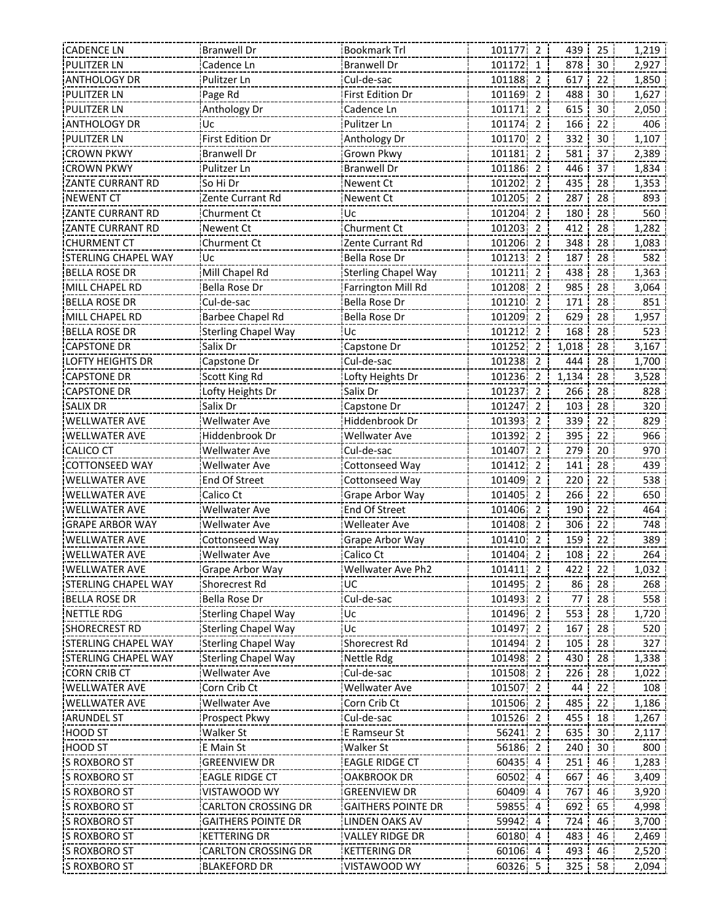| <b>CADENCE LN</b>          | <b>Branwell Dr</b>         | <b>Bookmark Trl</b>        | 101177 2 | 439   | 25 | 1,219 |
|----------------------------|----------------------------|----------------------------|----------|-------|----|-------|
| <b>PULITZER LN</b>         | Cadence Ln                 | <b>Branwell Dr</b>         | 101172 1 | 878   | 30 | 2,927 |
| <b>ANTHOLOGY DR</b>        | Pulitzer Ln                | Cul-de-sac                 | 101188 2 | 617   | 22 | 1,850 |
| PULITZER LN                | Page Rd                    | <b>First Edition Dr</b>    | 101169 2 | 488   | 30 | 1,627 |
| <b>PULITZER LN</b>         | Anthology Dr               | Cadence Ln                 | 101171 2 | 615   | 30 | 2,050 |
| <b>ANTHOLOGY DR</b>        | Uc                         | Pulitzer Ln                | 101174 2 | 166   | 22 | 406   |
| PULITZER LN                | First Edition Dr           | Anthology Dr               | 101170 2 | 332   | 30 | 1,107 |
| <b>CROWN PKWY</b>          | <b>Branwell Dr</b>         | Grown Pkwy                 | 101181 2 | 581   | 37 | 2,389 |
| <b>CROWN PKWY</b>          | Pulitzer Ln                | <b>Branwell Dr</b>         | 101186 2 | 446   | 37 | 1,834 |
| ZANTE CURRANT RD           | So Hi Dr                   | <b>Newent Ct</b>           | 101202 2 | 435   | 28 | 1,353 |
| NEWENT CT                  | Zente Currant Rd           | Newent Ct                  | 101205 2 | 287   | 28 | 893   |
| ZANTE CURRANT RD           | Churment Ct                | Uc                         | 101204 2 | 180   | 28 | 560   |
| ZANTE CURRANT RD           | Newent Ct                  | Churment Ct                | 101203 2 | 412   | 28 | 1,282 |
| <b>CHURMENT CT</b>         | Churment Ct                | Zente Currant Rd           | 101206 2 | 348   | 28 | 1,083 |
| STERLING CHAPEL WAY        | Uc                         | Bella Rose Dr              | 101213 2 | 187   | 28 | 582   |
| <b>BELLA ROSE DR</b>       | Mill Chapel Rd             | <b>Sterling Chapel Way</b> | 101211 2 | 438   | 28 | 1,363 |
| MILL CHAPEL RD             | Bella Rose Dr              | Farrington Mill Rd         | 101208 2 | 985   | 28 | 3,064 |
| <b>BELLA ROSE DR</b>       | Cul-de-sac                 | Bella Rose Dr              | 101210 2 | 171   | 28 | 851   |
| MILL CHAPEL RD             | Barbee Chapel Rd           | <b>Bella Rose Dr</b>       | 101209 2 | 629   | 28 | 1,957 |
| <b>BELLA ROSE DR</b>       | <b>Sterling Chapel Way</b> | Uc                         | 101212 2 | 168   | 28 | 523   |
| <b>CAPSTONE DR</b>         | Salix Dr                   | Capstone Dr                | 101252 2 | 1,018 | 28 | 3,167 |
| LOFTY HEIGHTS DR           | Capstone Dr                | Cul-de-sac                 | 101238 2 | 444   | 28 | 1,700 |
| <b>CAPSTONE DR</b>         | Scott King Rd              | Lofty Heights Dr           | 101236 2 | 1,134 | 28 | 3,528 |
| <b>CAPSTONE DR</b>         | Lofty Heights Dr           | Salix Dr                   | 101237 2 | 266   | 28 | 828   |
| <b>SALIX DR</b>            | Salix Dr                   | Capstone Dr                | 101247 2 | 103   | 28 | 320   |
| <b>WELLWATER AVE</b>       | Wellwater Ave              | Hiddenbrook Dr             | 101393 2 | 339   | 22 | 829   |
| <b>WELLWATER AVE</b>       | Hiddenbrook Dr             | <b>Wellwater Ave</b>       | 101392 2 | 395   | 22 | 966   |
| <b>CALICO CT</b>           | <b>Wellwater Ave</b>       | Cul-de-sac                 | 101407 2 | 279   | 20 | 970   |
| <b>COTTONSEED WAY</b>      | Wellwater Ave              | Cottonseed Way             | 101412 2 | 141   | 28 | 439   |
| <b>WELLWATER AVE</b>       |                            |                            |          | 220   | 22 |       |
|                            | End Of Street              | Cottonseed Way             | 101409 2 |       |    | 538   |
| WELLWATER AVE              | Calico Ct                  | Grape Arbor Way            | 101405 2 | 266   | 22 | 650   |
| WELLWATER AVE              | Wellwater Ave              | End Of Street              | 101406 2 | 190   | 22 | 464   |
| <b>GRAPE ARBOR WAY</b>     | Wellwater Ave              | Welleater Ave              | 101408 2 | 306   | 22 | 748   |
| WELLWATER AVE              | Cottonseed Way             | Grape Arbor Way            | 101410 2 | 159   | 22 | 389   |
| <b>WELLWATER AVE</b>       | <b>Wellwater Ave</b>       | Calico Ct                  | 101404 2 | 108   | 22 | 264   |
| <b>WELLWATER AVE</b>       | Grape Arbor Way            | Wellwater Ave Ph2          | 101411 2 | 422   | 22 | 1,032 |
| <b>STERLING CHAPEL WAY</b> | Shorecrest Rd              | UC                         | 101495 2 | 86    | 28 | 268   |
| <b>BELLA ROSE DR</b>       | Bella Rose Dr              | Cul-de-sac                 | 101493 2 | 77    | 28 | 558   |
| NETTLE RDG                 | <b>Sterling Chapel Way</b> | Uc                         | 101496 2 | 553   | 28 | 1,720 |
| <b>SHORECREST RD</b>       | <b>Sterling Chapel Way</b> | Uc                         | 101497 2 | 167   | 28 | 520   |
| STERLING CHAPEL WAY        | <b>Sterling Chapel Way</b> | Shorecrest Rd              | 101494 2 | 105   | 28 | 327   |
| STERLING CHAPEL WAY        | <b>Sterling Chapel Way</b> | Nettle Rdg                 | 101498 2 | 430   | 28 | 1,338 |
| <b>CORN CRIB CT</b>        | Wellwater Ave              | Cul-de-sac                 | 101508 2 | 226   | 28 | 1,022 |
| <b>WELLWATER AVE</b>       | Corn Crib Ct               | <b>Wellwater Ave</b>       | 101507 2 | 44    | 22 | 108   |
| WELLWATER AVE              | Wellwater Ave              | Corn Crib Ct               | 101506 2 | 485   | 22 | 1,186 |
| <b>ARUNDEL ST</b>          | Prospect Pkwy              | Cul-de-sac                 | 101526 2 | 455   | 18 | 1,267 |
| <b>HOOD ST</b>             | Walker St                  | E Ramseur St               | 56241 2  | 635   | 30 | 2,117 |
| HOOD ST                    | E Main St                  | Walker St                  | 56186 2  | 240   | 30 | 800   |
| S ROXBORO ST               | GREENVIEW DR               | EAGLE RIDGE CT             | 60435 4  | 251   | 46 | 1,283 |
| S ROXBORO ST               | <b>EAGLE RIDGE CT</b>      | OAKBROOK DR                | 60502 4  | 667   | 46 | 3,409 |
| <b>S ROXBORO ST</b>        | VISTAWOOD WY               | <b>GREENVIEW DR</b>        | 60409 4  | 767   | 46 | 3,920 |
| <b>S ROXBORO ST</b>        | <b>CARLTON CROSSING DR</b> | <b>GAITHERS POINTE DR</b>  | 59855 4  | 692   | 65 | 4,998 |
| S ROXBORO ST               | <b>GAITHERS POINTE DR</b>  | <b>LINDEN OAKS AV</b>      | 59942 4  | 724   | 46 | 3,700 |
| <b>S ROXBORO ST</b>        | <b>KETTERING DR</b>        | <b>VALLEY RIDGE DR</b>     | 60180 4  | 483   | 46 | 2,469 |
| S ROXBORO ST               | <b>CARLTON CROSSING DR</b> | KETTERING DR               | 60106 4  | 493   | 46 | 2,520 |
| S ROXBORO ST               | <b>BLAKEFORD DR</b>        | VISTAWOOD WY               | 60326 5  | 325   | 58 | 2,094 |
|                            |                            |                            |          |       |    |       |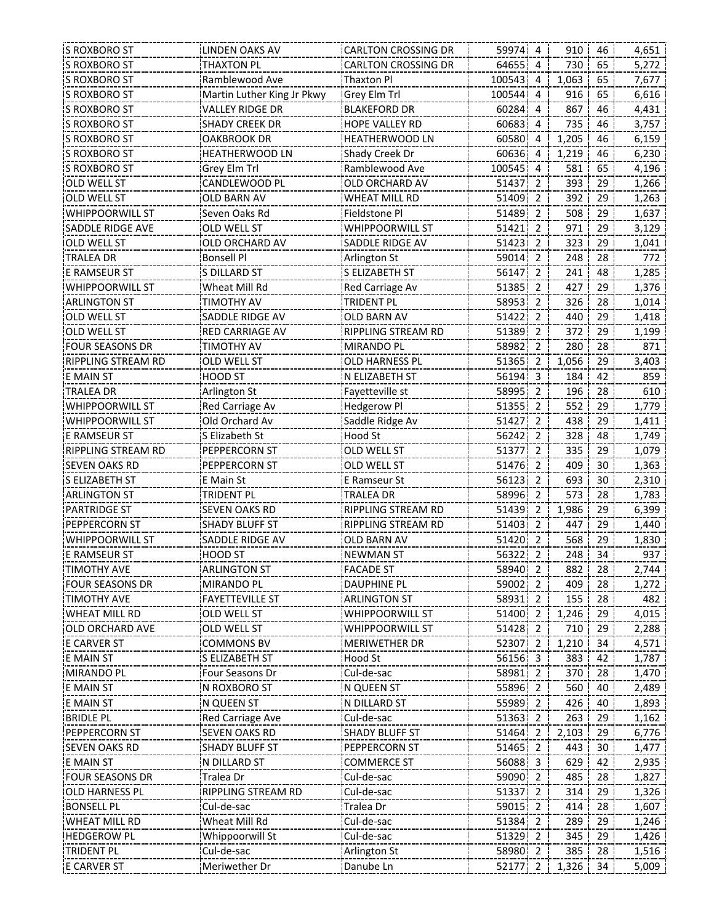| <b>S ROXBORO ST</b>     | LINDEN OAKS AV             | <b>CARLTON CROSSING DR</b> | 59974 4  |                | 910   | 46 | 4,651 |
|-------------------------|----------------------------|----------------------------|----------|----------------|-------|----|-------|
| <b>S ROXBORO ST</b>     | <b>THAXTON PL</b>          | <b>CARLTON CROSSING DR</b> | 64655 4  |                | 730   | 65 | 5,272 |
| S ROXBORO ST            | Ramblewood Ave             | Thaxton Pl                 | 100543 4 |                | 1,063 | 65 | 7,677 |
| S ROXBORO ST            | Martin Luther King Jr Pkwy | Grey Elm Trl               | 100544   | 4              | 916   | 65 | 6,616 |
| S ROXBORO ST            | VALLEY RIDGE DR            | <b>BLAKEFORD DR</b>        | 60284 4  |                | 867   | 46 | 4,431 |
| S ROXBORO ST            | SHADY CREEK DR             | HOPE VALLEY RD             | 60683    | $\overline{4}$ | 735   | 46 | 3,757 |
| S ROXBORO ST            | OAKBROOK DR                | <b>HEATHERWOOD LN</b>      | 60580 4  |                | 1,205 | 46 | 6,159 |
| S ROXBORO ST            | HEATHERWOOD LN             | Shady Creek Dr             | 60636 4  |                | 1,219 | 46 | 6,230 |
| <b>S ROXBORO ST</b>     | Grey Elm Trl               | Ramblewood Ave             | 100545 4 |                | 581   | 65 | 4,196 |
| <b>OLD WELL ST</b>      | CANDLEWOOD PL              | OLD ORCHARD AV             | 51437 2  |                | 393   | 29 | 1,266 |
| <b>OLD WELL ST</b>      | <b>OLD BARN AV</b>         | <b>WHEAT MILL RD</b>       | 51409 2  |                | 392   | 29 | 1,263 |
| <b>WHIPPOORWILL ST</b>  | Seven Oaks Rd              | Fieldstone Pl              | 51489 2  |                | 508   | 29 | 1,637 |
| <b>SADDLE RIDGE AVE</b> | OLD WELL ST                | <b>WHIPPOORWILL ST</b>     | 51421    | $\overline{2}$ | 971   | 29 | 3,129 |
| <b>OLD WELL ST</b>      | OLD ORCHARD AV             | SADDLE RIDGE AV            | 51423 2  |                | 323   | 29 | 1,041 |
| <b>TRALEA DR</b>        | <b>Bonsell Pl</b>          | Arlington St               | 59014 2  |                | 248   | 28 | 772   |
| E RAMSEUR ST            | S DILLARD ST               | S ELIZABETH ST             | 56147 2  |                | 241   | 48 | 1,285 |
|                         |                            |                            | 51385 2  |                | 427   | 29 |       |
| WHIPPOORWILL ST         | Wheat Mill Rd              | Red Carriage Av            |          |                |       |    | 1,376 |
| <b>ARLINGTON ST</b>     | TIMOTHY AV                 | <b>TRIDENT PL</b>          | 58953 2  |                | 326   | 28 | 1,014 |
| <b>OLD WELL ST</b>      | SADDLE RIDGE AV            | <b>OLD BARN AV</b>         | 51422 2  |                | 440   | 29 | 1,418 |
| <b>OLD WELL ST</b>      | <b>RED CARRIAGE AV</b>     | <b>RIPPLING STREAM RD</b>  | 51389 2  |                | 372   | 29 | 1,199 |
| <b>FOUR SEASONS DR</b>  | <b>TIMOTHY AV</b>          | <b>MIRANDO PL</b>          | 58982 2  |                | 280   | 28 | 871   |
| RIPPLING STREAM RD      | OLD WELL ST                | <b>OLD HARNESS PL</b>      | 51365 2  |                | 1,056 | 29 | 3,403 |
| <b>E MAIN ST</b>        | HOOD ST                    | N ELIZABETH ST             | 56194 3  |                | 184   | 42 | 859   |
| TRALEA DR               | Arlington St               | Fayetteville st            | 58995 2  |                | 196   | 28 | 610   |
| WHIPPOORWILL ST         | Red Carriage Av            | <b>Hedgerow Pl</b>         | 51355 2  |                | 552   | 29 | 1,779 |
| <b>WHIPPOORWILL ST</b>  | Old Orchard Av             | Saddle Ridge Av            | 51427 2  |                | 438   | 29 | 1,411 |
| <b>E RAMSEUR ST</b>     | S Elizabeth St             | Hood St                    | 56242 2  |                | 328   | 48 | 1,749 |
| RIPPLING STREAM RD      | PEPPERCORN ST              | OLD WELL ST                | 51377 2  |                | 335   | 29 | 1,079 |
| <b>SEVEN OAKS RD</b>    | PEPPERCORN ST              | OLD WELL ST                | 51476 2  |                | 409   | 30 | 1,363 |
| S ELIZABETH ST          | E Main St                  | E Ramseur St               | 56123 2  |                | 693   | 30 | 2,310 |
| <b>ARLINGTON ST</b>     | TRIDENT PL                 | <b>TRALEA DR</b>           | 58996 2  |                | 573   | 28 | 1,783 |
| <b>PARTRIDGE ST</b>     | <b>SEVEN OAKS RD</b>       | RIPPLING STREAM RD         | 51439 2  |                | 1,986 | 29 | 6,399 |
| <b>PEPPERCORN ST</b>    | SHADY BLUFF ST             | RIPPLING STREAM RD         | 51403 2  |                | 447   | 29 | 1,440 |
| <b>WHIPPOORWILL ST</b>  | SADDLE RIDGE AV            | <b>OLD BARN AV</b>         | 51420 2  |                | 568   | 29 | 1,830 |
| <b>E RAMSEUR ST</b>     | <b>HOOD ST</b>             | <b>NEWMAN ST</b>           | 56322 2  |                | 248   | 34 | 937   |
| <b>TIMOTHY AVE</b>      | <b>ARLINGTON ST</b>        | <b>FACADE ST</b>           | 58940 2  |                | 882   | 28 | 2,744 |
| FOUR SEASONS DR         | MIRANDO PL                 | DAUPHINE PL                | 59002 2  |                | 409   | 28 | 1,272 |
| <b>TIMOTHY AVE</b>      | <b>FAYETTEVILLE ST</b>     | <b>ARLINGTON ST</b>        | 58931 2  |                | 155   | 28 | 482   |
| <b>WHEAT MILL RD</b>    | OLD WELL ST                | WHIPPOORWILL ST            | 51400 2  |                | 1,246 | 29 | 4,015 |
| <b>OLD ORCHARD AVE</b>  | OLD WELL ST                | WHIPPOORWILL ST            | 51428 2  |                | 710   | 29 | 2,288 |
| <b>E CARVER ST</b>      | COMMONS BV                 | <b>MERIWETHER DR</b>       | 52307 2  |                | 1,210 | 34 | 4,571 |
| E MAIN ST               | S ELIZABETH ST             | Hood St                    | 56156 3  |                | 383   | 42 | 1,787 |
| MIRANDO PL              | Four Seasons Dr            | Cul-de-sac                 | 58981 2  |                | 370   | 28 | 1,470 |
| <b>E MAIN ST</b>        | N ROXBORO ST               | N QUEEN ST                 | 55896 2  |                | 560   | 40 | 2,489 |
| <b>E MAIN ST</b>        | N QUEEN ST                 | N DILLARD ST               | 55989 2  |                | 426   | 40 | 1,893 |
|                         |                            |                            |          |                |       |    |       |
| <b>BRIDLE PL</b>        | Red Carriage Ave           | Cul-de-sac                 | 51363 2  |                | 263   | 29 | 1,162 |
| <b>PEPPERCORN ST</b>    | <b>SEVEN OAKS RD</b>       | <b>SHADY BLUFF ST</b>      | 51464 2  |                | 2,103 | 29 | 6,776 |
| <b>SEVEN OAKS RD</b>    | <b>SHADY BLUFF ST</b>      | PEPPERCORN ST              | 51465 2  |                | 443   | 30 | 1,477 |
| <b>E MAIN ST</b>        | N DILLARD ST               | <b>COMMERCE ST</b>         | 56088 3  |                | 629   | 42 | 2,935 |
| <b>FOUR SEASONS DR</b>  | Tralea Dr                  | Cul-de-sac                 | 59090 2  |                | 485   | 28 | 1,827 |
| OLD HARNESS PL          | RIPPLING STREAM RD         | Cul-de-sac                 | 51337 2  |                | 314   | 29 | 1,326 |
| <b>BONSELL PL</b>       | Cul-de-sac                 | Tralea Dr                  | 59015 2  |                | 414   | 28 | 1,607 |
| <b>WHEAT MILL RD</b>    | Wheat Mill Rd              | Cul-de-sac                 | 51384 2  |                | 289   | 29 | 1,246 |
| <b>HEDGEROW PL</b>      | Whippoorwill St            | Cul-de-sac                 | 51329 2  |                | 345   | 29 | 1,426 |
| TRIDENT PL              | Cul-de-sac                 | Arlington St               | 58980 2  |                | 385   | 28 | 1,516 |
| <b>E CARVER ST</b>      | Meriwether Dr              | Danube Ln                  | 52177 2  |                | 1,326 | 34 | 5,009 |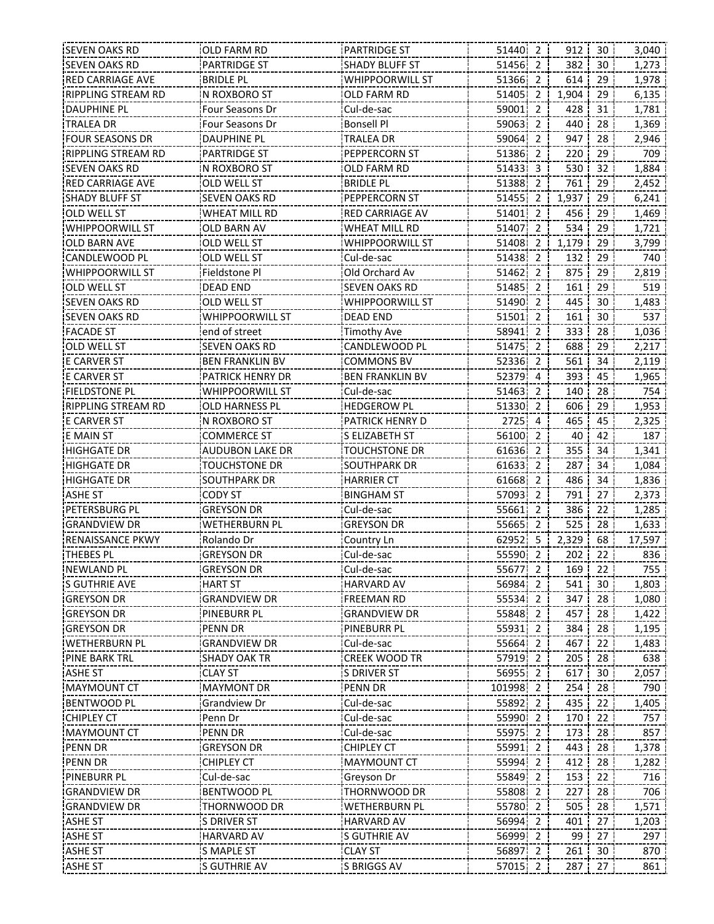| 51440 2<br>912 30<br><b>SEVEN OAKS RD</b><br><b>PARTRIDGE ST</b><br><b>SHADY BLUFF ST</b><br>51456 2<br>382<br>30<br>1,273<br>614<br>29<br><b>BRIDLE PL</b><br>51366 2<br>1,978<br><b>RED CARRIAGE AVE</b><br>WHIPPOORWILL ST<br>1,904<br><b>RIPPLING STREAM RD</b><br>IN ROXBORO ST<br>51405 2<br>29<br>OLD FARM RD<br>6,135<br>Cul-de-sac<br><b>DAUPHINE PL</b><br>428<br>Four Seasons Dr<br>59001<br>2<br>31<br>1,781<br><b>Bonsell Pl</b><br>440<br>28<br>TRALEA DR<br>Four Seasons Dr<br>59063 2<br>1,369<br><b>FOUR SEASONS DR</b><br>TRALEA DR<br>59064 2<br>947<br>28<br>2,946<br>DAUPHINE PL<br>29<br>709<br>RIPPLING STREAM RD<br>PARTRIDGE ST<br>PEPPERCORN ST<br>51386 2<br>220<br><b>SEVEN OAKS RD</b><br>51433 3<br>530<br>32<br>1,884<br>N ROXBORO ST<br>OLD FARM RD<br>51388 2<br>761<br>2,452<br><b>RED CARRIAGE AVE</b><br>OLD WELL ST<br><b>BRIDLE PL</b><br>29<br><b>SHADY BLUFF ST</b><br><b>SEVEN OAKS RD</b><br>PEPPERCORN ST<br>51455 2<br>1,937<br>29<br>6,241<br>456<br><b>RED CARRIAGE AV</b><br>51401 2<br>29<br>OLD WELL ST<br><b>WHEAT MILL RD</b><br>1,469<br><b>WHIPPOORWILL ST</b><br>$\overline{2}$<br>534<br>29<br>OLD BARN AV<br>WHEAT MILL RD<br>51407<br>1,721<br>OLD BARN AVE<br>51408 2<br>1,179<br>29<br>3,799<br>OLD WELL ST<br>WHIPPOORWILL ST<br>CANDLEWOOD PL<br>Cul-de-sac<br>51438 2<br>132<br>29<br>740<br>OLD WELL ST<br>51462 2<br>875<br>29<br>2,819<br><b>WHIPPOORWILL ST</b><br>Fieldstone Pl<br>Old Orchard Av<br>161<br>29<br>519<br><b>OLD WELL ST</b><br><b>DEAD END</b><br><b>SEVEN OAKS RD</b><br>51485 2<br><b>SEVEN OAKS RD</b><br>WHIPPOORWILL ST<br>51490 2<br>445<br>30<br>1,483<br>OLD WELL ST<br>537<br>51501 2<br>161<br><b>SEVEN OAKS RD</b><br><b>WHIPPOORWILL ST</b><br><b>DEAD END</b><br>30<br>end of street<br>58941 2<br>333<br>1,036<br><b>Timothy Ave</b><br>28<br>51475 2<br>688<br>29<br><b>OLD WELL ST</b><br><b>SEVEN OAKS RD</b><br>CANDLEWOOD PL<br>2,217<br>52336 2<br>561<br><b>E CARVER ST</b><br><b>BEN FRANKLIN BV</b><br>COMMONS BV<br>34<br>2,119<br><b>E CARVER ST</b><br><b>PATRICK HENRY DR</b><br><b>BEN FRANKLIN BV</b><br>52379 4<br>393<br>1,965<br>45<br>WHIPPOORWILL ST<br>140<br>754<br><b>FIELDSTONE PL</b><br>Cul-de-sac<br>51463 2<br>28<br>51330 2<br>606<br>29<br>1,953<br>RIPPLING STREAM RD<br>OLD HARNESS PL<br><b>HEDGEROW PL</b><br>PATRICK HENRY D<br>$2725 - 4$<br>465<br>45<br>2,325<br><b>E CARVER ST</b><br>N ROXBORO ST<br>187<br><b>E MAIN ST</b><br><b>COMMERCE ST</b><br>S ELIZABETH ST<br>56100 2<br>40<br>42<br>355<br><b>HIGHGATE DR</b><br><b>TOUCHSTONE DR</b><br>61636 2<br>34<br>1,341<br><b>AUDUBON LAKE DR</b><br>287<br><b>TOUCHSTONE DR</b><br>61633 2<br>34<br><b>HIGHGATE DR</b><br>SOUTHPARK DR<br>1,084<br>486<br><b>HIGHGATE DR</b><br><b>SOUTHPARK DR</b><br><b>HARRIER CT</b><br>61668<br>2<br>34<br>1,836<br>791<br>27<br><b>ASHE ST</b><br><b>CODY ST</b><br><b>BINGHAM ST</b><br>57093 2<br>2,373<br>PETERSBURG PL<br>386<br>1,285<br>GREYSON DR<br>Cul-de-sac<br>55661 2<br>22<br>525<br>GRANDVIEW DR<br><b>WETHERBURN PL</b><br>GREYSON DR<br>55665 2<br>28<br>1,633<br><b>RENAISSANCE PKWY</b><br>62952 5<br>2,329<br>68<br>17,597<br>Rolando Dr<br>Country Ln<br>55590 2<br>836<br><b>THEBES PL</b><br><b>GREYSON DR</b><br>Cul-de-sac<br>202<br>22<br>755<br><b>GREYSON DR</b><br>55677 2<br><b>NEWLAND PL</b><br>Cul-de-sac<br>169<br>22<br><b>HART ST</b><br><b>HARVARD AV</b><br>56984 2<br>541<br>30<br>1,803<br>'S GUTHRIE AVE<br><b>GREYSON DR</b><br><b>GRANDVIEW DR</b><br>55534<br>347<br><b>FREEMAN RD</b><br>2<br>28<br>1,080<br>55848<br>457<br>28<br>1,422<br><b>GREYSON DR</b><br>PINEBURR PL<br>GRANDVIEW DR<br>2<br>55931 2<br><b>PENN DR</b><br>PINEBURR PL<br>384<br>28<br>1,195<br><b>GREYSON DR</b><br>Cul-de-sac<br>55664 2<br>467<br><b>WETHERBURN PL</b><br>GRANDVIEW DR<br>22<br>1,483<br><b>PINE BARK TRL</b><br><b>SHADY OAK TR</b><br><b>CREEK WOOD TR</b><br>57919 2<br>205<br>28<br>638<br>56955 2<br><b>ASHE ST</b><br><b>CLAY ST</b><br><b>S DRIVER ST</b><br>617<br>30<br>2,057<br><b>MAYMOUNT CT</b><br>101998 2<br>254<br>790<br><b>MAYMONT DR</b><br><b>PENN DR</b><br>28<br>Cul-de-sac<br>55892 2<br>435<br>Grandview Dr<br>22<br>1,405<br>Cul-de-sac<br>55990<br>ICHIPLEY CT<br>Penn Dr<br>2<br>170<br>22<br>757<br>Cul-de-sac<br>IMAYMOUNT CT<br>PENN DR<br>55975.<br>2<br>173<br>28<br>857<br><b>CHIPLEY CT</b><br>55991 2<br>443<br>1,378<br><b>GREYSON DR</b><br>28<br>55994 2<br>28<br>PENN DR<br>CHIPLEY CT<br><b>MAYMOUNT CT</b><br>412<br>1,282<br>55849 2<br>22<br><b>PINEBURR PL</b><br>Cul-de-sac<br>Greyson Dr<br>153<br>716<br><b>GRANDVIEW DR</b><br><b>BENTWOOD PL</b><br>THORNWOOD DR<br>55808 2<br>227<br>28<br>706<br>505<br><b>GRANDVIEW DR</b><br><b>THORNWOOD DR</b><br><b>WETHERBURN PL</b><br>55780 2<br>28<br>1,571<br><b>HARVARD AV</b><br>56994 2<br>401<br>27<br><b>S DRIVER ST</b><br>1,203<br>27<br><b>ASHE ST</b><br>S GUTHRIE AV<br>56999 2<br>99<br>297<br><b>HARVARD AV</b><br><b>CLAY ST</b><br>56897<br>$\overline{2}$<br>261<br>30<br><b>ASHE ST</b><br>S MAPLE ST<br>870<br>ASHE ST<br>S GUTHRIE AV<br>S BRIGGS AV<br>57015 2<br>287<br>27<br>861 | <b>SEVEN OAKS RD</b> | OLD FARM RD | <b>PARTRIDGE ST</b> |  |  | 3,040 |
|-----------------------------------------------------------------------------------------------------------------------------------------------------------------------------------------------------------------------------------------------------------------------------------------------------------------------------------------------------------------------------------------------------------------------------------------------------------------------------------------------------------------------------------------------------------------------------------------------------------------------------------------------------------------------------------------------------------------------------------------------------------------------------------------------------------------------------------------------------------------------------------------------------------------------------------------------------------------------------------------------------------------------------------------------------------------------------------------------------------------------------------------------------------------------------------------------------------------------------------------------------------------------------------------------------------------------------------------------------------------------------------------------------------------------------------------------------------------------------------------------------------------------------------------------------------------------------------------------------------------------------------------------------------------------------------------------------------------------------------------------------------------------------------------------------------------------------------------------------------------------------------------------------------------------------------------------------------------------------------------------------------------------------------------------------------------------------------------------------------------------------------------------------------------------------------------------------------------------------------------------------------------------------------------------------------------------------------------------------------------------------------------------------------------------------------------------------------------------------------------------------------------------------------------------------------------------------------------------------------------------------------------------------------------------------------------------------------------------------------------------------------------------------------------------------------------------------------------------------------------------------------------------------------------------------------------------------------------------------------------------------------------------------------------------------------------------------------------------------------------------------------------------------------------------------------------------------------------------------------------------------------------------------------------------------------------------------------------------------------------------------------------------------------------------------------------------------------------------------------------------------------------------------------------------------------------------------------------------------------------------------------------------------------------------------------------------------------------------------------------------------------------------------------------------------------------------------------------------------------------------------------------------------------------------------------------------------------------------------------------------------------------------------------------------------------------------------------------------------------------------------------------------------------------------------------------------------------------------------------------------------------------------------------------------------------------------------------------------------------------------------------------------------------------------------------------------------------------------------------------------------------------------------------------------------------------------------------------------------------------------------------------------------------------------------------------------------------------------------------------------------------------------------------------------------------------------------------------------------------------------------------------------------------------------------------------------------------------------------------------------------------------------------------------------------------------------------------------------------------------------------------------------------------------------------|----------------------|-------------|---------------------|--|--|-------|
|                                                                                                                                                                                                                                                                                                                                                                                                                                                                                                                                                                                                                                                                                                                                                                                                                                                                                                                                                                                                                                                                                                                                                                                                                                                                                                                                                                                                                                                                                                                                                                                                                                                                                                                                                                                                                                                                                                                                                                                                                                                                                                                                                                                                                                                                                                                                                                                                                                                                                                                                                                                                                                                                                                                                                                                                                                                                                                                                                                                                                                                                                                                                                                                                                                                                                                                                                                                                                                                                                                                                                                                                                                                                                                                                                                                                                                                                                                                                                                                                                                                                                                                                                                                                                                                                                                                                                                                                                                                                                                                                                                                                                                                                                                                                                                                                                                                                                                                                                                                                                                                                                                                                                                             |                      |             |                     |  |  |       |
|                                                                                                                                                                                                                                                                                                                                                                                                                                                                                                                                                                                                                                                                                                                                                                                                                                                                                                                                                                                                                                                                                                                                                                                                                                                                                                                                                                                                                                                                                                                                                                                                                                                                                                                                                                                                                                                                                                                                                                                                                                                                                                                                                                                                                                                                                                                                                                                                                                                                                                                                                                                                                                                                                                                                                                                                                                                                                                                                                                                                                                                                                                                                                                                                                                                                                                                                                                                                                                                                                                                                                                                                                                                                                                                                                                                                                                                                                                                                                                                                                                                                                                                                                                                                                                                                                                                                                                                                                                                                                                                                                                                                                                                                                                                                                                                                                                                                                                                                                                                                                                                                                                                                                                             |                      |             |                     |  |  |       |
|                                                                                                                                                                                                                                                                                                                                                                                                                                                                                                                                                                                                                                                                                                                                                                                                                                                                                                                                                                                                                                                                                                                                                                                                                                                                                                                                                                                                                                                                                                                                                                                                                                                                                                                                                                                                                                                                                                                                                                                                                                                                                                                                                                                                                                                                                                                                                                                                                                                                                                                                                                                                                                                                                                                                                                                                                                                                                                                                                                                                                                                                                                                                                                                                                                                                                                                                                                                                                                                                                                                                                                                                                                                                                                                                                                                                                                                                                                                                                                                                                                                                                                                                                                                                                                                                                                                                                                                                                                                                                                                                                                                                                                                                                                                                                                                                                                                                                                                                                                                                                                                                                                                                                                             |                      |             |                     |  |  |       |
|                                                                                                                                                                                                                                                                                                                                                                                                                                                                                                                                                                                                                                                                                                                                                                                                                                                                                                                                                                                                                                                                                                                                                                                                                                                                                                                                                                                                                                                                                                                                                                                                                                                                                                                                                                                                                                                                                                                                                                                                                                                                                                                                                                                                                                                                                                                                                                                                                                                                                                                                                                                                                                                                                                                                                                                                                                                                                                                                                                                                                                                                                                                                                                                                                                                                                                                                                                                                                                                                                                                                                                                                                                                                                                                                                                                                                                                                                                                                                                                                                                                                                                                                                                                                                                                                                                                                                                                                                                                                                                                                                                                                                                                                                                                                                                                                                                                                                                                                                                                                                                                                                                                                                                             |                      |             |                     |  |  |       |
|                                                                                                                                                                                                                                                                                                                                                                                                                                                                                                                                                                                                                                                                                                                                                                                                                                                                                                                                                                                                                                                                                                                                                                                                                                                                                                                                                                                                                                                                                                                                                                                                                                                                                                                                                                                                                                                                                                                                                                                                                                                                                                                                                                                                                                                                                                                                                                                                                                                                                                                                                                                                                                                                                                                                                                                                                                                                                                                                                                                                                                                                                                                                                                                                                                                                                                                                                                                                                                                                                                                                                                                                                                                                                                                                                                                                                                                                                                                                                                                                                                                                                                                                                                                                                                                                                                                                                                                                                                                                                                                                                                                                                                                                                                                                                                                                                                                                                                                                                                                                                                                                                                                                                                             |                      |             |                     |  |  |       |
|                                                                                                                                                                                                                                                                                                                                                                                                                                                                                                                                                                                                                                                                                                                                                                                                                                                                                                                                                                                                                                                                                                                                                                                                                                                                                                                                                                                                                                                                                                                                                                                                                                                                                                                                                                                                                                                                                                                                                                                                                                                                                                                                                                                                                                                                                                                                                                                                                                                                                                                                                                                                                                                                                                                                                                                                                                                                                                                                                                                                                                                                                                                                                                                                                                                                                                                                                                                                                                                                                                                                                                                                                                                                                                                                                                                                                                                                                                                                                                                                                                                                                                                                                                                                                                                                                                                                                                                                                                                                                                                                                                                                                                                                                                                                                                                                                                                                                                                                                                                                                                                                                                                                                                             |                      |             |                     |  |  |       |
|                                                                                                                                                                                                                                                                                                                                                                                                                                                                                                                                                                                                                                                                                                                                                                                                                                                                                                                                                                                                                                                                                                                                                                                                                                                                                                                                                                                                                                                                                                                                                                                                                                                                                                                                                                                                                                                                                                                                                                                                                                                                                                                                                                                                                                                                                                                                                                                                                                                                                                                                                                                                                                                                                                                                                                                                                                                                                                                                                                                                                                                                                                                                                                                                                                                                                                                                                                                                                                                                                                                                                                                                                                                                                                                                                                                                                                                                                                                                                                                                                                                                                                                                                                                                                                                                                                                                                                                                                                                                                                                                                                                                                                                                                                                                                                                                                                                                                                                                                                                                                                                                                                                                                                             |                      |             |                     |  |  |       |
|                                                                                                                                                                                                                                                                                                                                                                                                                                                                                                                                                                                                                                                                                                                                                                                                                                                                                                                                                                                                                                                                                                                                                                                                                                                                                                                                                                                                                                                                                                                                                                                                                                                                                                                                                                                                                                                                                                                                                                                                                                                                                                                                                                                                                                                                                                                                                                                                                                                                                                                                                                                                                                                                                                                                                                                                                                                                                                                                                                                                                                                                                                                                                                                                                                                                                                                                                                                                                                                                                                                                                                                                                                                                                                                                                                                                                                                                                                                                                                                                                                                                                                                                                                                                                                                                                                                                                                                                                                                                                                                                                                                                                                                                                                                                                                                                                                                                                                                                                                                                                                                                                                                                                                             |                      |             |                     |  |  |       |
|                                                                                                                                                                                                                                                                                                                                                                                                                                                                                                                                                                                                                                                                                                                                                                                                                                                                                                                                                                                                                                                                                                                                                                                                                                                                                                                                                                                                                                                                                                                                                                                                                                                                                                                                                                                                                                                                                                                                                                                                                                                                                                                                                                                                                                                                                                                                                                                                                                                                                                                                                                                                                                                                                                                                                                                                                                                                                                                                                                                                                                                                                                                                                                                                                                                                                                                                                                                                                                                                                                                                                                                                                                                                                                                                                                                                                                                                                                                                                                                                                                                                                                                                                                                                                                                                                                                                                                                                                                                                                                                                                                                                                                                                                                                                                                                                                                                                                                                                                                                                                                                                                                                                                                             |                      |             |                     |  |  |       |
|                                                                                                                                                                                                                                                                                                                                                                                                                                                                                                                                                                                                                                                                                                                                                                                                                                                                                                                                                                                                                                                                                                                                                                                                                                                                                                                                                                                                                                                                                                                                                                                                                                                                                                                                                                                                                                                                                                                                                                                                                                                                                                                                                                                                                                                                                                                                                                                                                                                                                                                                                                                                                                                                                                                                                                                                                                                                                                                                                                                                                                                                                                                                                                                                                                                                                                                                                                                                                                                                                                                                                                                                                                                                                                                                                                                                                                                                                                                                                                                                                                                                                                                                                                                                                                                                                                                                                                                                                                                                                                                                                                                                                                                                                                                                                                                                                                                                                                                                                                                                                                                                                                                                                                             |                      |             |                     |  |  |       |
|                                                                                                                                                                                                                                                                                                                                                                                                                                                                                                                                                                                                                                                                                                                                                                                                                                                                                                                                                                                                                                                                                                                                                                                                                                                                                                                                                                                                                                                                                                                                                                                                                                                                                                                                                                                                                                                                                                                                                                                                                                                                                                                                                                                                                                                                                                                                                                                                                                                                                                                                                                                                                                                                                                                                                                                                                                                                                                                                                                                                                                                                                                                                                                                                                                                                                                                                                                                                                                                                                                                                                                                                                                                                                                                                                                                                                                                                                                                                                                                                                                                                                                                                                                                                                                                                                                                                                                                                                                                                                                                                                                                                                                                                                                                                                                                                                                                                                                                                                                                                                                                                                                                                                                             |                      |             |                     |  |  |       |
|                                                                                                                                                                                                                                                                                                                                                                                                                                                                                                                                                                                                                                                                                                                                                                                                                                                                                                                                                                                                                                                                                                                                                                                                                                                                                                                                                                                                                                                                                                                                                                                                                                                                                                                                                                                                                                                                                                                                                                                                                                                                                                                                                                                                                                                                                                                                                                                                                                                                                                                                                                                                                                                                                                                                                                                                                                                                                                                                                                                                                                                                                                                                                                                                                                                                                                                                                                                                                                                                                                                                                                                                                                                                                                                                                                                                                                                                                                                                                                                                                                                                                                                                                                                                                                                                                                                                                                                                                                                                                                                                                                                                                                                                                                                                                                                                                                                                                                                                                                                                                                                                                                                                                                             |                      |             |                     |  |  |       |
|                                                                                                                                                                                                                                                                                                                                                                                                                                                                                                                                                                                                                                                                                                                                                                                                                                                                                                                                                                                                                                                                                                                                                                                                                                                                                                                                                                                                                                                                                                                                                                                                                                                                                                                                                                                                                                                                                                                                                                                                                                                                                                                                                                                                                                                                                                                                                                                                                                                                                                                                                                                                                                                                                                                                                                                                                                                                                                                                                                                                                                                                                                                                                                                                                                                                                                                                                                                                                                                                                                                                                                                                                                                                                                                                                                                                                                                                                                                                                                                                                                                                                                                                                                                                                                                                                                                                                                                                                                                                                                                                                                                                                                                                                                                                                                                                                                                                                                                                                                                                                                                                                                                                                                             |                      |             |                     |  |  |       |
|                                                                                                                                                                                                                                                                                                                                                                                                                                                                                                                                                                                                                                                                                                                                                                                                                                                                                                                                                                                                                                                                                                                                                                                                                                                                                                                                                                                                                                                                                                                                                                                                                                                                                                                                                                                                                                                                                                                                                                                                                                                                                                                                                                                                                                                                                                                                                                                                                                                                                                                                                                                                                                                                                                                                                                                                                                                                                                                                                                                                                                                                                                                                                                                                                                                                                                                                                                                                                                                                                                                                                                                                                                                                                                                                                                                                                                                                                                                                                                                                                                                                                                                                                                                                                                                                                                                                                                                                                                                                                                                                                                                                                                                                                                                                                                                                                                                                                                                                                                                                                                                                                                                                                                             |                      |             |                     |  |  |       |
|                                                                                                                                                                                                                                                                                                                                                                                                                                                                                                                                                                                                                                                                                                                                                                                                                                                                                                                                                                                                                                                                                                                                                                                                                                                                                                                                                                                                                                                                                                                                                                                                                                                                                                                                                                                                                                                                                                                                                                                                                                                                                                                                                                                                                                                                                                                                                                                                                                                                                                                                                                                                                                                                                                                                                                                                                                                                                                                                                                                                                                                                                                                                                                                                                                                                                                                                                                                                                                                                                                                                                                                                                                                                                                                                                                                                                                                                                                                                                                                                                                                                                                                                                                                                                                                                                                                                                                                                                                                                                                                                                                                                                                                                                                                                                                                                                                                                                                                                                                                                                                                                                                                                                                             |                      |             |                     |  |  |       |
|                                                                                                                                                                                                                                                                                                                                                                                                                                                                                                                                                                                                                                                                                                                                                                                                                                                                                                                                                                                                                                                                                                                                                                                                                                                                                                                                                                                                                                                                                                                                                                                                                                                                                                                                                                                                                                                                                                                                                                                                                                                                                                                                                                                                                                                                                                                                                                                                                                                                                                                                                                                                                                                                                                                                                                                                                                                                                                                                                                                                                                                                                                                                                                                                                                                                                                                                                                                                                                                                                                                                                                                                                                                                                                                                                                                                                                                                                                                                                                                                                                                                                                                                                                                                                                                                                                                                                                                                                                                                                                                                                                                                                                                                                                                                                                                                                                                                                                                                                                                                                                                                                                                                                                             |                      |             |                     |  |  |       |
|                                                                                                                                                                                                                                                                                                                                                                                                                                                                                                                                                                                                                                                                                                                                                                                                                                                                                                                                                                                                                                                                                                                                                                                                                                                                                                                                                                                                                                                                                                                                                                                                                                                                                                                                                                                                                                                                                                                                                                                                                                                                                                                                                                                                                                                                                                                                                                                                                                                                                                                                                                                                                                                                                                                                                                                                                                                                                                                                                                                                                                                                                                                                                                                                                                                                                                                                                                                                                                                                                                                                                                                                                                                                                                                                                                                                                                                                                                                                                                                                                                                                                                                                                                                                                                                                                                                                                                                                                                                                                                                                                                                                                                                                                                                                                                                                                                                                                                                                                                                                                                                                                                                                                                             |                      |             |                     |  |  |       |
|                                                                                                                                                                                                                                                                                                                                                                                                                                                                                                                                                                                                                                                                                                                                                                                                                                                                                                                                                                                                                                                                                                                                                                                                                                                                                                                                                                                                                                                                                                                                                                                                                                                                                                                                                                                                                                                                                                                                                                                                                                                                                                                                                                                                                                                                                                                                                                                                                                                                                                                                                                                                                                                                                                                                                                                                                                                                                                                                                                                                                                                                                                                                                                                                                                                                                                                                                                                                                                                                                                                                                                                                                                                                                                                                                                                                                                                                                                                                                                                                                                                                                                                                                                                                                                                                                                                                                                                                                                                                                                                                                                                                                                                                                                                                                                                                                                                                                                                                                                                                                                                                                                                                                                             |                      |             |                     |  |  |       |
|                                                                                                                                                                                                                                                                                                                                                                                                                                                                                                                                                                                                                                                                                                                                                                                                                                                                                                                                                                                                                                                                                                                                                                                                                                                                                                                                                                                                                                                                                                                                                                                                                                                                                                                                                                                                                                                                                                                                                                                                                                                                                                                                                                                                                                                                                                                                                                                                                                                                                                                                                                                                                                                                                                                                                                                                                                                                                                                                                                                                                                                                                                                                                                                                                                                                                                                                                                                                                                                                                                                                                                                                                                                                                                                                                                                                                                                                                                                                                                                                                                                                                                                                                                                                                                                                                                                                                                                                                                                                                                                                                                                                                                                                                                                                                                                                                                                                                                                                                                                                                                                                                                                                                                             |                      |             |                     |  |  |       |
|                                                                                                                                                                                                                                                                                                                                                                                                                                                                                                                                                                                                                                                                                                                                                                                                                                                                                                                                                                                                                                                                                                                                                                                                                                                                                                                                                                                                                                                                                                                                                                                                                                                                                                                                                                                                                                                                                                                                                                                                                                                                                                                                                                                                                                                                                                                                                                                                                                                                                                                                                                                                                                                                                                                                                                                                                                                                                                                                                                                                                                                                                                                                                                                                                                                                                                                                                                                                                                                                                                                                                                                                                                                                                                                                                                                                                                                                                                                                                                                                                                                                                                                                                                                                                                                                                                                                                                                                                                                                                                                                                                                                                                                                                                                                                                                                                                                                                                                                                                                                                                                                                                                                                                             | <b>FACADE ST</b>     |             |                     |  |  |       |
|                                                                                                                                                                                                                                                                                                                                                                                                                                                                                                                                                                                                                                                                                                                                                                                                                                                                                                                                                                                                                                                                                                                                                                                                                                                                                                                                                                                                                                                                                                                                                                                                                                                                                                                                                                                                                                                                                                                                                                                                                                                                                                                                                                                                                                                                                                                                                                                                                                                                                                                                                                                                                                                                                                                                                                                                                                                                                                                                                                                                                                                                                                                                                                                                                                                                                                                                                                                                                                                                                                                                                                                                                                                                                                                                                                                                                                                                                                                                                                                                                                                                                                                                                                                                                                                                                                                                                                                                                                                                                                                                                                                                                                                                                                                                                                                                                                                                                                                                                                                                                                                                                                                                                                             |                      |             |                     |  |  |       |
|                                                                                                                                                                                                                                                                                                                                                                                                                                                                                                                                                                                                                                                                                                                                                                                                                                                                                                                                                                                                                                                                                                                                                                                                                                                                                                                                                                                                                                                                                                                                                                                                                                                                                                                                                                                                                                                                                                                                                                                                                                                                                                                                                                                                                                                                                                                                                                                                                                                                                                                                                                                                                                                                                                                                                                                                                                                                                                                                                                                                                                                                                                                                                                                                                                                                                                                                                                                                                                                                                                                                                                                                                                                                                                                                                                                                                                                                                                                                                                                                                                                                                                                                                                                                                                                                                                                                                                                                                                                                                                                                                                                                                                                                                                                                                                                                                                                                                                                                                                                                                                                                                                                                                                             |                      |             |                     |  |  |       |
|                                                                                                                                                                                                                                                                                                                                                                                                                                                                                                                                                                                                                                                                                                                                                                                                                                                                                                                                                                                                                                                                                                                                                                                                                                                                                                                                                                                                                                                                                                                                                                                                                                                                                                                                                                                                                                                                                                                                                                                                                                                                                                                                                                                                                                                                                                                                                                                                                                                                                                                                                                                                                                                                                                                                                                                                                                                                                                                                                                                                                                                                                                                                                                                                                                                                                                                                                                                                                                                                                                                                                                                                                                                                                                                                                                                                                                                                                                                                                                                                                                                                                                                                                                                                                                                                                                                                                                                                                                                                                                                                                                                                                                                                                                                                                                                                                                                                                                                                                                                                                                                                                                                                                                             |                      |             |                     |  |  |       |
|                                                                                                                                                                                                                                                                                                                                                                                                                                                                                                                                                                                                                                                                                                                                                                                                                                                                                                                                                                                                                                                                                                                                                                                                                                                                                                                                                                                                                                                                                                                                                                                                                                                                                                                                                                                                                                                                                                                                                                                                                                                                                                                                                                                                                                                                                                                                                                                                                                                                                                                                                                                                                                                                                                                                                                                                                                                                                                                                                                                                                                                                                                                                                                                                                                                                                                                                                                                                                                                                                                                                                                                                                                                                                                                                                                                                                                                                                                                                                                                                                                                                                                                                                                                                                                                                                                                                                                                                                                                                                                                                                                                                                                                                                                                                                                                                                                                                                                                                                                                                                                                                                                                                                                             |                      |             |                     |  |  |       |
|                                                                                                                                                                                                                                                                                                                                                                                                                                                                                                                                                                                                                                                                                                                                                                                                                                                                                                                                                                                                                                                                                                                                                                                                                                                                                                                                                                                                                                                                                                                                                                                                                                                                                                                                                                                                                                                                                                                                                                                                                                                                                                                                                                                                                                                                                                                                                                                                                                                                                                                                                                                                                                                                                                                                                                                                                                                                                                                                                                                                                                                                                                                                                                                                                                                                                                                                                                                                                                                                                                                                                                                                                                                                                                                                                                                                                                                                                                                                                                                                                                                                                                                                                                                                                                                                                                                                                                                                                                                                                                                                                                                                                                                                                                                                                                                                                                                                                                                                                                                                                                                                                                                                                                             |                      |             |                     |  |  |       |
|                                                                                                                                                                                                                                                                                                                                                                                                                                                                                                                                                                                                                                                                                                                                                                                                                                                                                                                                                                                                                                                                                                                                                                                                                                                                                                                                                                                                                                                                                                                                                                                                                                                                                                                                                                                                                                                                                                                                                                                                                                                                                                                                                                                                                                                                                                                                                                                                                                                                                                                                                                                                                                                                                                                                                                                                                                                                                                                                                                                                                                                                                                                                                                                                                                                                                                                                                                                                                                                                                                                                                                                                                                                                                                                                                                                                                                                                                                                                                                                                                                                                                                                                                                                                                                                                                                                                                                                                                                                                                                                                                                                                                                                                                                                                                                                                                                                                                                                                                                                                                                                                                                                                                                             |                      |             |                     |  |  |       |
|                                                                                                                                                                                                                                                                                                                                                                                                                                                                                                                                                                                                                                                                                                                                                                                                                                                                                                                                                                                                                                                                                                                                                                                                                                                                                                                                                                                                                                                                                                                                                                                                                                                                                                                                                                                                                                                                                                                                                                                                                                                                                                                                                                                                                                                                                                                                                                                                                                                                                                                                                                                                                                                                                                                                                                                                                                                                                                                                                                                                                                                                                                                                                                                                                                                                                                                                                                                                                                                                                                                                                                                                                                                                                                                                                                                                                                                                                                                                                                                                                                                                                                                                                                                                                                                                                                                                                                                                                                                                                                                                                                                                                                                                                                                                                                                                                                                                                                                                                                                                                                                                                                                                                                             |                      |             |                     |  |  |       |
|                                                                                                                                                                                                                                                                                                                                                                                                                                                                                                                                                                                                                                                                                                                                                                                                                                                                                                                                                                                                                                                                                                                                                                                                                                                                                                                                                                                                                                                                                                                                                                                                                                                                                                                                                                                                                                                                                                                                                                                                                                                                                                                                                                                                                                                                                                                                                                                                                                                                                                                                                                                                                                                                                                                                                                                                                                                                                                                                                                                                                                                                                                                                                                                                                                                                                                                                                                                                                                                                                                                                                                                                                                                                                                                                                                                                                                                                                                                                                                                                                                                                                                                                                                                                                                                                                                                                                                                                                                                                                                                                                                                                                                                                                                                                                                                                                                                                                                                                                                                                                                                                                                                                                                             |                      |             |                     |  |  |       |
|                                                                                                                                                                                                                                                                                                                                                                                                                                                                                                                                                                                                                                                                                                                                                                                                                                                                                                                                                                                                                                                                                                                                                                                                                                                                                                                                                                                                                                                                                                                                                                                                                                                                                                                                                                                                                                                                                                                                                                                                                                                                                                                                                                                                                                                                                                                                                                                                                                                                                                                                                                                                                                                                                                                                                                                                                                                                                                                                                                                                                                                                                                                                                                                                                                                                                                                                                                                                                                                                                                                                                                                                                                                                                                                                                                                                                                                                                                                                                                                                                                                                                                                                                                                                                                                                                                                                                                                                                                                                                                                                                                                                                                                                                                                                                                                                                                                                                                                                                                                                                                                                                                                                                                             |                      |             |                     |  |  |       |
|                                                                                                                                                                                                                                                                                                                                                                                                                                                                                                                                                                                                                                                                                                                                                                                                                                                                                                                                                                                                                                                                                                                                                                                                                                                                                                                                                                                                                                                                                                                                                                                                                                                                                                                                                                                                                                                                                                                                                                                                                                                                                                                                                                                                                                                                                                                                                                                                                                                                                                                                                                                                                                                                                                                                                                                                                                                                                                                                                                                                                                                                                                                                                                                                                                                                                                                                                                                                                                                                                                                                                                                                                                                                                                                                                                                                                                                                                                                                                                                                                                                                                                                                                                                                                                                                                                                                                                                                                                                                                                                                                                                                                                                                                                                                                                                                                                                                                                                                                                                                                                                                                                                                                                             |                      |             |                     |  |  |       |
|                                                                                                                                                                                                                                                                                                                                                                                                                                                                                                                                                                                                                                                                                                                                                                                                                                                                                                                                                                                                                                                                                                                                                                                                                                                                                                                                                                                                                                                                                                                                                                                                                                                                                                                                                                                                                                                                                                                                                                                                                                                                                                                                                                                                                                                                                                                                                                                                                                                                                                                                                                                                                                                                                                                                                                                                                                                                                                                                                                                                                                                                                                                                                                                                                                                                                                                                                                                                                                                                                                                                                                                                                                                                                                                                                                                                                                                                                                                                                                                                                                                                                                                                                                                                                                                                                                                                                                                                                                                                                                                                                                                                                                                                                                                                                                                                                                                                                                                                                                                                                                                                                                                                                                             |                      |             |                     |  |  |       |
|                                                                                                                                                                                                                                                                                                                                                                                                                                                                                                                                                                                                                                                                                                                                                                                                                                                                                                                                                                                                                                                                                                                                                                                                                                                                                                                                                                                                                                                                                                                                                                                                                                                                                                                                                                                                                                                                                                                                                                                                                                                                                                                                                                                                                                                                                                                                                                                                                                                                                                                                                                                                                                                                                                                                                                                                                                                                                                                                                                                                                                                                                                                                                                                                                                                                                                                                                                                                                                                                                                                                                                                                                                                                                                                                                                                                                                                                                                                                                                                                                                                                                                                                                                                                                                                                                                                                                                                                                                                                                                                                                                                                                                                                                                                                                                                                                                                                                                                                                                                                                                                                                                                                                                             |                      |             |                     |  |  |       |
|                                                                                                                                                                                                                                                                                                                                                                                                                                                                                                                                                                                                                                                                                                                                                                                                                                                                                                                                                                                                                                                                                                                                                                                                                                                                                                                                                                                                                                                                                                                                                                                                                                                                                                                                                                                                                                                                                                                                                                                                                                                                                                                                                                                                                                                                                                                                                                                                                                                                                                                                                                                                                                                                                                                                                                                                                                                                                                                                                                                                                                                                                                                                                                                                                                                                                                                                                                                                                                                                                                                                                                                                                                                                                                                                                                                                                                                                                                                                                                                                                                                                                                                                                                                                                                                                                                                                                                                                                                                                                                                                                                                                                                                                                                                                                                                                                                                                                                                                                                                                                                                                                                                                                                             |                      |             |                     |  |  |       |
|                                                                                                                                                                                                                                                                                                                                                                                                                                                                                                                                                                                                                                                                                                                                                                                                                                                                                                                                                                                                                                                                                                                                                                                                                                                                                                                                                                                                                                                                                                                                                                                                                                                                                                                                                                                                                                                                                                                                                                                                                                                                                                                                                                                                                                                                                                                                                                                                                                                                                                                                                                                                                                                                                                                                                                                                                                                                                                                                                                                                                                                                                                                                                                                                                                                                                                                                                                                                                                                                                                                                                                                                                                                                                                                                                                                                                                                                                                                                                                                                                                                                                                                                                                                                                                                                                                                                                                                                                                                                                                                                                                                                                                                                                                                                                                                                                                                                                                                                                                                                                                                                                                                                                                             |                      |             |                     |  |  |       |
|                                                                                                                                                                                                                                                                                                                                                                                                                                                                                                                                                                                                                                                                                                                                                                                                                                                                                                                                                                                                                                                                                                                                                                                                                                                                                                                                                                                                                                                                                                                                                                                                                                                                                                                                                                                                                                                                                                                                                                                                                                                                                                                                                                                                                                                                                                                                                                                                                                                                                                                                                                                                                                                                                                                                                                                                                                                                                                                                                                                                                                                                                                                                                                                                                                                                                                                                                                                                                                                                                                                                                                                                                                                                                                                                                                                                                                                                                                                                                                                                                                                                                                                                                                                                                                                                                                                                                                                                                                                                                                                                                                                                                                                                                                                                                                                                                                                                                                                                                                                                                                                                                                                                                                             |                      |             |                     |  |  |       |
|                                                                                                                                                                                                                                                                                                                                                                                                                                                                                                                                                                                                                                                                                                                                                                                                                                                                                                                                                                                                                                                                                                                                                                                                                                                                                                                                                                                                                                                                                                                                                                                                                                                                                                                                                                                                                                                                                                                                                                                                                                                                                                                                                                                                                                                                                                                                                                                                                                                                                                                                                                                                                                                                                                                                                                                                                                                                                                                                                                                                                                                                                                                                                                                                                                                                                                                                                                                                                                                                                                                                                                                                                                                                                                                                                                                                                                                                                                                                                                                                                                                                                                                                                                                                                                                                                                                                                                                                                                                                                                                                                                                                                                                                                                                                                                                                                                                                                                                                                                                                                                                                                                                                                                             |                      |             |                     |  |  |       |
|                                                                                                                                                                                                                                                                                                                                                                                                                                                                                                                                                                                                                                                                                                                                                                                                                                                                                                                                                                                                                                                                                                                                                                                                                                                                                                                                                                                                                                                                                                                                                                                                                                                                                                                                                                                                                                                                                                                                                                                                                                                                                                                                                                                                                                                                                                                                                                                                                                                                                                                                                                                                                                                                                                                                                                                                                                                                                                                                                                                                                                                                                                                                                                                                                                                                                                                                                                                                                                                                                                                                                                                                                                                                                                                                                                                                                                                                                                                                                                                                                                                                                                                                                                                                                                                                                                                                                                                                                                                                                                                                                                                                                                                                                                                                                                                                                                                                                                                                                                                                                                                                                                                                                                             |                      |             |                     |  |  |       |
|                                                                                                                                                                                                                                                                                                                                                                                                                                                                                                                                                                                                                                                                                                                                                                                                                                                                                                                                                                                                                                                                                                                                                                                                                                                                                                                                                                                                                                                                                                                                                                                                                                                                                                                                                                                                                                                                                                                                                                                                                                                                                                                                                                                                                                                                                                                                                                                                                                                                                                                                                                                                                                                                                                                                                                                                                                                                                                                                                                                                                                                                                                                                                                                                                                                                                                                                                                                                                                                                                                                                                                                                                                                                                                                                                                                                                                                                                                                                                                                                                                                                                                                                                                                                                                                                                                                                                                                                                                                                                                                                                                                                                                                                                                                                                                                                                                                                                                                                                                                                                                                                                                                                                                             |                      |             |                     |  |  |       |
|                                                                                                                                                                                                                                                                                                                                                                                                                                                                                                                                                                                                                                                                                                                                                                                                                                                                                                                                                                                                                                                                                                                                                                                                                                                                                                                                                                                                                                                                                                                                                                                                                                                                                                                                                                                                                                                                                                                                                                                                                                                                                                                                                                                                                                                                                                                                                                                                                                                                                                                                                                                                                                                                                                                                                                                                                                                                                                                                                                                                                                                                                                                                                                                                                                                                                                                                                                                                                                                                                                                                                                                                                                                                                                                                                                                                                                                                                                                                                                                                                                                                                                                                                                                                                                                                                                                                                                                                                                                                                                                                                                                                                                                                                                                                                                                                                                                                                                                                                                                                                                                                                                                                                                             |                      |             |                     |  |  |       |
|                                                                                                                                                                                                                                                                                                                                                                                                                                                                                                                                                                                                                                                                                                                                                                                                                                                                                                                                                                                                                                                                                                                                                                                                                                                                                                                                                                                                                                                                                                                                                                                                                                                                                                                                                                                                                                                                                                                                                                                                                                                                                                                                                                                                                                                                                                                                                                                                                                                                                                                                                                                                                                                                                                                                                                                                                                                                                                                                                                                                                                                                                                                                                                                                                                                                                                                                                                                                                                                                                                                                                                                                                                                                                                                                                                                                                                                                                                                                                                                                                                                                                                                                                                                                                                                                                                                                                                                                                                                                                                                                                                                                                                                                                                                                                                                                                                                                                                                                                                                                                                                                                                                                                                             |                      |             |                     |  |  |       |
|                                                                                                                                                                                                                                                                                                                                                                                                                                                                                                                                                                                                                                                                                                                                                                                                                                                                                                                                                                                                                                                                                                                                                                                                                                                                                                                                                                                                                                                                                                                                                                                                                                                                                                                                                                                                                                                                                                                                                                                                                                                                                                                                                                                                                                                                                                                                                                                                                                                                                                                                                                                                                                                                                                                                                                                                                                                                                                                                                                                                                                                                                                                                                                                                                                                                                                                                                                                                                                                                                                                                                                                                                                                                                                                                                                                                                                                                                                                                                                                                                                                                                                                                                                                                                                                                                                                                                                                                                                                                                                                                                                                                                                                                                                                                                                                                                                                                                                                                                                                                                                                                                                                                                                             |                      |             |                     |  |  |       |
|                                                                                                                                                                                                                                                                                                                                                                                                                                                                                                                                                                                                                                                                                                                                                                                                                                                                                                                                                                                                                                                                                                                                                                                                                                                                                                                                                                                                                                                                                                                                                                                                                                                                                                                                                                                                                                                                                                                                                                                                                                                                                                                                                                                                                                                                                                                                                                                                                                                                                                                                                                                                                                                                                                                                                                                                                                                                                                                                                                                                                                                                                                                                                                                                                                                                                                                                                                                                                                                                                                                                                                                                                                                                                                                                                                                                                                                                                                                                                                                                                                                                                                                                                                                                                                                                                                                                                                                                                                                                                                                                                                                                                                                                                                                                                                                                                                                                                                                                                                                                                                                                                                                                                                             |                      |             |                     |  |  |       |
|                                                                                                                                                                                                                                                                                                                                                                                                                                                                                                                                                                                                                                                                                                                                                                                                                                                                                                                                                                                                                                                                                                                                                                                                                                                                                                                                                                                                                                                                                                                                                                                                                                                                                                                                                                                                                                                                                                                                                                                                                                                                                                                                                                                                                                                                                                                                                                                                                                                                                                                                                                                                                                                                                                                                                                                                                                                                                                                                                                                                                                                                                                                                                                                                                                                                                                                                                                                                                                                                                                                                                                                                                                                                                                                                                                                                                                                                                                                                                                                                                                                                                                                                                                                                                                                                                                                                                                                                                                                                                                                                                                                                                                                                                                                                                                                                                                                                                                                                                                                                                                                                                                                                                                             |                      |             |                     |  |  |       |
|                                                                                                                                                                                                                                                                                                                                                                                                                                                                                                                                                                                                                                                                                                                                                                                                                                                                                                                                                                                                                                                                                                                                                                                                                                                                                                                                                                                                                                                                                                                                                                                                                                                                                                                                                                                                                                                                                                                                                                                                                                                                                                                                                                                                                                                                                                                                                                                                                                                                                                                                                                                                                                                                                                                                                                                                                                                                                                                                                                                                                                                                                                                                                                                                                                                                                                                                                                                                                                                                                                                                                                                                                                                                                                                                                                                                                                                                                                                                                                                                                                                                                                                                                                                                                                                                                                                                                                                                                                                                                                                                                                                                                                                                                                                                                                                                                                                                                                                                                                                                                                                                                                                                                                             |                      |             |                     |  |  |       |
|                                                                                                                                                                                                                                                                                                                                                                                                                                                                                                                                                                                                                                                                                                                                                                                                                                                                                                                                                                                                                                                                                                                                                                                                                                                                                                                                                                                                                                                                                                                                                                                                                                                                                                                                                                                                                                                                                                                                                                                                                                                                                                                                                                                                                                                                                                                                                                                                                                                                                                                                                                                                                                                                                                                                                                                                                                                                                                                                                                                                                                                                                                                                                                                                                                                                                                                                                                                                                                                                                                                                                                                                                                                                                                                                                                                                                                                                                                                                                                                                                                                                                                                                                                                                                                                                                                                                                                                                                                                                                                                                                                                                                                                                                                                                                                                                                                                                                                                                                                                                                                                                                                                                                                             |                      |             |                     |  |  |       |
|                                                                                                                                                                                                                                                                                                                                                                                                                                                                                                                                                                                                                                                                                                                                                                                                                                                                                                                                                                                                                                                                                                                                                                                                                                                                                                                                                                                                                                                                                                                                                                                                                                                                                                                                                                                                                                                                                                                                                                                                                                                                                                                                                                                                                                                                                                                                                                                                                                                                                                                                                                                                                                                                                                                                                                                                                                                                                                                                                                                                                                                                                                                                                                                                                                                                                                                                                                                                                                                                                                                                                                                                                                                                                                                                                                                                                                                                                                                                                                                                                                                                                                                                                                                                                                                                                                                                                                                                                                                                                                                                                                                                                                                                                                                                                                                                                                                                                                                                                                                                                                                                                                                                                                             | <b>BENTWOOD PL</b>   |             |                     |  |  |       |
|                                                                                                                                                                                                                                                                                                                                                                                                                                                                                                                                                                                                                                                                                                                                                                                                                                                                                                                                                                                                                                                                                                                                                                                                                                                                                                                                                                                                                                                                                                                                                                                                                                                                                                                                                                                                                                                                                                                                                                                                                                                                                                                                                                                                                                                                                                                                                                                                                                                                                                                                                                                                                                                                                                                                                                                                                                                                                                                                                                                                                                                                                                                                                                                                                                                                                                                                                                                                                                                                                                                                                                                                                                                                                                                                                                                                                                                                                                                                                                                                                                                                                                                                                                                                                                                                                                                                                                                                                                                                                                                                                                                                                                                                                                                                                                                                                                                                                                                                                                                                                                                                                                                                                                             |                      |             |                     |  |  |       |
|                                                                                                                                                                                                                                                                                                                                                                                                                                                                                                                                                                                                                                                                                                                                                                                                                                                                                                                                                                                                                                                                                                                                                                                                                                                                                                                                                                                                                                                                                                                                                                                                                                                                                                                                                                                                                                                                                                                                                                                                                                                                                                                                                                                                                                                                                                                                                                                                                                                                                                                                                                                                                                                                                                                                                                                                                                                                                                                                                                                                                                                                                                                                                                                                                                                                                                                                                                                                                                                                                                                                                                                                                                                                                                                                                                                                                                                                                                                                                                                                                                                                                                                                                                                                                                                                                                                                                                                                                                                                                                                                                                                                                                                                                                                                                                                                                                                                                                                                                                                                                                                                                                                                                                             |                      |             |                     |  |  |       |
|                                                                                                                                                                                                                                                                                                                                                                                                                                                                                                                                                                                                                                                                                                                                                                                                                                                                                                                                                                                                                                                                                                                                                                                                                                                                                                                                                                                                                                                                                                                                                                                                                                                                                                                                                                                                                                                                                                                                                                                                                                                                                                                                                                                                                                                                                                                                                                                                                                                                                                                                                                                                                                                                                                                                                                                                                                                                                                                                                                                                                                                                                                                                                                                                                                                                                                                                                                                                                                                                                                                                                                                                                                                                                                                                                                                                                                                                                                                                                                                                                                                                                                                                                                                                                                                                                                                                                                                                                                                                                                                                                                                                                                                                                                                                                                                                                                                                                                                                                                                                                                                                                                                                                                             | <b>PENN DR</b>       |             |                     |  |  |       |
|                                                                                                                                                                                                                                                                                                                                                                                                                                                                                                                                                                                                                                                                                                                                                                                                                                                                                                                                                                                                                                                                                                                                                                                                                                                                                                                                                                                                                                                                                                                                                                                                                                                                                                                                                                                                                                                                                                                                                                                                                                                                                                                                                                                                                                                                                                                                                                                                                                                                                                                                                                                                                                                                                                                                                                                                                                                                                                                                                                                                                                                                                                                                                                                                                                                                                                                                                                                                                                                                                                                                                                                                                                                                                                                                                                                                                                                                                                                                                                                                                                                                                                                                                                                                                                                                                                                                                                                                                                                                                                                                                                                                                                                                                                                                                                                                                                                                                                                                                                                                                                                                                                                                                                             |                      |             |                     |  |  |       |
|                                                                                                                                                                                                                                                                                                                                                                                                                                                                                                                                                                                                                                                                                                                                                                                                                                                                                                                                                                                                                                                                                                                                                                                                                                                                                                                                                                                                                                                                                                                                                                                                                                                                                                                                                                                                                                                                                                                                                                                                                                                                                                                                                                                                                                                                                                                                                                                                                                                                                                                                                                                                                                                                                                                                                                                                                                                                                                                                                                                                                                                                                                                                                                                                                                                                                                                                                                                                                                                                                                                                                                                                                                                                                                                                                                                                                                                                                                                                                                                                                                                                                                                                                                                                                                                                                                                                                                                                                                                                                                                                                                                                                                                                                                                                                                                                                                                                                                                                                                                                                                                                                                                                                                             |                      |             |                     |  |  |       |
|                                                                                                                                                                                                                                                                                                                                                                                                                                                                                                                                                                                                                                                                                                                                                                                                                                                                                                                                                                                                                                                                                                                                                                                                                                                                                                                                                                                                                                                                                                                                                                                                                                                                                                                                                                                                                                                                                                                                                                                                                                                                                                                                                                                                                                                                                                                                                                                                                                                                                                                                                                                                                                                                                                                                                                                                                                                                                                                                                                                                                                                                                                                                                                                                                                                                                                                                                                                                                                                                                                                                                                                                                                                                                                                                                                                                                                                                                                                                                                                                                                                                                                                                                                                                                                                                                                                                                                                                                                                                                                                                                                                                                                                                                                                                                                                                                                                                                                                                                                                                                                                                                                                                                                             |                      |             |                     |  |  |       |
|                                                                                                                                                                                                                                                                                                                                                                                                                                                                                                                                                                                                                                                                                                                                                                                                                                                                                                                                                                                                                                                                                                                                                                                                                                                                                                                                                                                                                                                                                                                                                                                                                                                                                                                                                                                                                                                                                                                                                                                                                                                                                                                                                                                                                                                                                                                                                                                                                                                                                                                                                                                                                                                                                                                                                                                                                                                                                                                                                                                                                                                                                                                                                                                                                                                                                                                                                                                                                                                                                                                                                                                                                                                                                                                                                                                                                                                                                                                                                                                                                                                                                                                                                                                                                                                                                                                                                                                                                                                                                                                                                                                                                                                                                                                                                                                                                                                                                                                                                                                                                                                                                                                                                                             |                      |             |                     |  |  |       |
|                                                                                                                                                                                                                                                                                                                                                                                                                                                                                                                                                                                                                                                                                                                                                                                                                                                                                                                                                                                                                                                                                                                                                                                                                                                                                                                                                                                                                                                                                                                                                                                                                                                                                                                                                                                                                                                                                                                                                                                                                                                                                                                                                                                                                                                                                                                                                                                                                                                                                                                                                                                                                                                                                                                                                                                                                                                                                                                                                                                                                                                                                                                                                                                                                                                                                                                                                                                                                                                                                                                                                                                                                                                                                                                                                                                                                                                                                                                                                                                                                                                                                                                                                                                                                                                                                                                                                                                                                                                                                                                                                                                                                                                                                                                                                                                                                                                                                                                                                                                                                                                                                                                                                                             | <b>ASHE ST</b>       |             |                     |  |  |       |
|                                                                                                                                                                                                                                                                                                                                                                                                                                                                                                                                                                                                                                                                                                                                                                                                                                                                                                                                                                                                                                                                                                                                                                                                                                                                                                                                                                                                                                                                                                                                                                                                                                                                                                                                                                                                                                                                                                                                                                                                                                                                                                                                                                                                                                                                                                                                                                                                                                                                                                                                                                                                                                                                                                                                                                                                                                                                                                                                                                                                                                                                                                                                                                                                                                                                                                                                                                                                                                                                                                                                                                                                                                                                                                                                                                                                                                                                                                                                                                                                                                                                                                                                                                                                                                                                                                                                                                                                                                                                                                                                                                                                                                                                                                                                                                                                                                                                                                                                                                                                                                                                                                                                                                             |                      |             |                     |  |  |       |
|                                                                                                                                                                                                                                                                                                                                                                                                                                                                                                                                                                                                                                                                                                                                                                                                                                                                                                                                                                                                                                                                                                                                                                                                                                                                                                                                                                                                                                                                                                                                                                                                                                                                                                                                                                                                                                                                                                                                                                                                                                                                                                                                                                                                                                                                                                                                                                                                                                                                                                                                                                                                                                                                                                                                                                                                                                                                                                                                                                                                                                                                                                                                                                                                                                                                                                                                                                                                                                                                                                                                                                                                                                                                                                                                                                                                                                                                                                                                                                                                                                                                                                                                                                                                                                                                                                                                                                                                                                                                                                                                                                                                                                                                                                                                                                                                                                                                                                                                                                                                                                                                                                                                                                             |                      |             |                     |  |  |       |
|                                                                                                                                                                                                                                                                                                                                                                                                                                                                                                                                                                                                                                                                                                                                                                                                                                                                                                                                                                                                                                                                                                                                                                                                                                                                                                                                                                                                                                                                                                                                                                                                                                                                                                                                                                                                                                                                                                                                                                                                                                                                                                                                                                                                                                                                                                                                                                                                                                                                                                                                                                                                                                                                                                                                                                                                                                                                                                                                                                                                                                                                                                                                                                                                                                                                                                                                                                                                                                                                                                                                                                                                                                                                                                                                                                                                                                                                                                                                                                                                                                                                                                                                                                                                                                                                                                                                                                                                                                                                                                                                                                                                                                                                                                                                                                                                                                                                                                                                                                                                                                                                                                                                                                             |                      |             |                     |  |  |       |